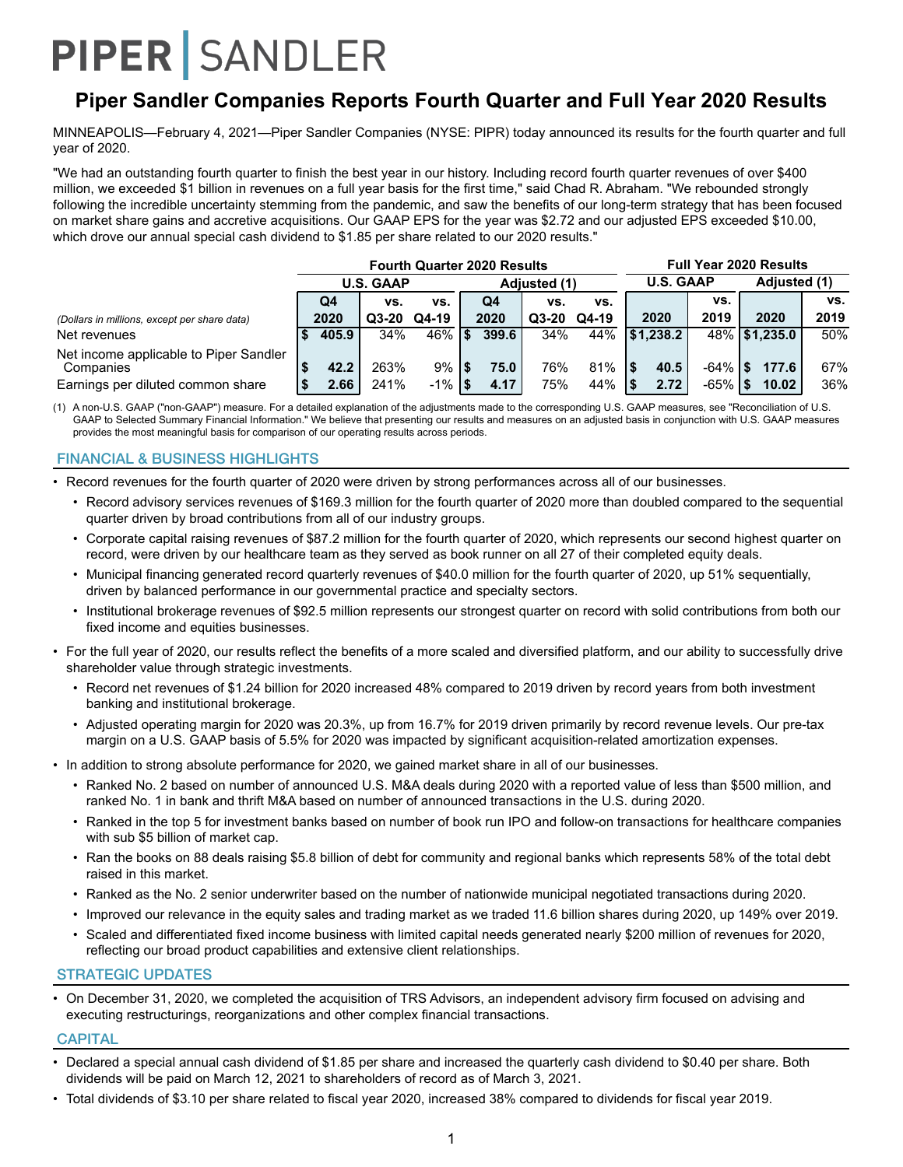## **Piper Sandler Companies Reports Fourth Quarter and Full Year 2020 Results**

MINNEAPOLIS—February 4, 2021—Piper Sandler Companies (NYSE: PIPR) today announced its results for the fourth quarter and full year of 2020.

"We had an outstanding fourth quarter to finish the best year in our history. Including record fourth quarter revenues of over \$400 million, we exceeded \$1 billion in revenues on a full year basis for the first time," said Chad R. Abraham. "We rebounded strongly following the incredible uncertainty stemming from the pandemic, and saw the benefits of our long-term strategy that has been focused on market share gains and accretive acquisitions. Our GAAP EPS for the year was \$2.72 and our adjusted EPS exceeded \$10.00, which drove our annual special cash dividend to \$1.85 per share related to our 2020 results."

|                                                     | <b>Fourth Quarter 2020 Results</b> |         |             |  |              |         |       |  |                  | <b>Full Year 2020 Results</b> |              |               |      |  |  |  |
|-----------------------------------------------------|------------------------------------|---------|-------------|--|--------------|---------|-------|--|------------------|-------------------------------|--------------|---------------|------|--|--|--|
|                                                     | <b>U.S. GAAP</b>                   |         |             |  | Adjusted (1) |         |       |  | <b>U.S. GAAP</b> |                               | Adiusted (1) |               |      |  |  |  |
|                                                     | Q4                                 | VS.     | VS.         |  | Q4           | vs.     | VS.   |  |                  | VS.                           |              |               | VS.  |  |  |  |
| (Dollars in millions, except per share data)        | 2020                               | $Q3-20$ | Q4-19       |  | 2020         | $Q3-20$ | Q4-19 |  | 2020             | 2019                          |              | 2020          | 2019 |  |  |  |
| Net revenues                                        | 405.9                              | 34%     | $46\%$   \$ |  | 399.6        | 34%     | 44%   |  | \$1,238.2        |                               |              | 48% \$1,235.0 | 50%  |  |  |  |
| Net income applicable to Piper Sandler<br>Companies | 42.2                               | 263%    | $9%$ S      |  | 75.0         | 76%     | 81%   |  | 40.5             | $-64\%$ S                     |              | 177.6         | 67%  |  |  |  |
| Earnings per diluted common share                   | 2.66                               | 241%    | $-1\%$   \$ |  | 4.17         | 75%     | 44%   |  | 2.72             | $-65\%$   \$                  |              | 10.02         | 36%  |  |  |  |

(1) A non-U.S. GAAP ("non-GAAP") measure. For a detailed explanation of the adjustments made to the corresponding U.S. GAAP measures, see "Reconciliation of U.S. GAAP to Selected Summary Financial Information." We believe that presenting our results and measures on an adjusted basis in conjunction with U.S. GAAP measures provides the most meaningful basis for comparison of our operating results across periods.

#### FINANCIAL & BUSINESS HIGHLIGHTS

• Record revenues for the fourth quarter of 2020 were driven by strong performances across all of our businesses.

- Record advisory services revenues of \$169.3 million for the fourth quarter of 2020 more than doubled compared to the sequential quarter driven by broad contributions from all of our industry groups.
- Corporate capital raising revenues of \$87.2 million for the fourth quarter of 2020, which represents our second highest quarter on record, were driven by our healthcare team as they served as book runner on all 27 of their completed equity deals.
- Municipal financing generated record quarterly revenues of \$40.0 million for the fourth quarter of 2020, up 51% sequentially, driven by balanced performance in our governmental practice and specialty sectors.
- Institutional brokerage revenues of \$92.5 million represents our strongest quarter on record with solid contributions from both our fixed income and equities businesses.
- For the full year of 2020, our results reflect the benefits of a more scaled and diversified platform, and our ability to successfully drive shareholder value through strategic investments.
	- Record net revenues of \$1.24 billion for 2020 increased 48% compared to 2019 driven by record years from both investment banking and institutional brokerage.
	- Adjusted operating margin for 2020 was 20.3%, up from 16.7% for 2019 driven primarily by record revenue levels. Our pre-tax margin on a U.S. GAAP basis of 5.5% for 2020 was impacted by significant acquisition-related amortization expenses.
- In addition to strong absolute performance for 2020, we gained market share in all of our businesses.
	- Ranked No. 2 based on number of announced U.S. M&A deals during 2020 with a reported value of less than \$500 million, and ranked No. 1 in bank and thrift M&A based on number of announced transactions in the U.S. during 2020.
	- Ranked in the top 5 for investment banks based on number of book run IPO and follow-on transactions for healthcare companies with sub \$5 billion of market cap.
	- Ran the books on 88 deals raising \$5.8 billion of debt for community and regional banks which represents 58% of the total debt raised in this market.
	- Ranked as the No. 2 senior underwriter based on the number of nationwide municipal negotiated transactions during 2020.
	- Improved our relevance in the equity sales and trading market as we traded 11.6 billion shares during 2020, up 149% over 2019.
	- Scaled and differentiated fixed income business with limited capital needs generated nearly \$200 million of revenues for 2020, reflecting our broad product capabilities and extensive client relationships.

#### STRATEGIC UPDATES

• On December 31, 2020, we completed the acquisition of TRS Advisors, an independent advisory firm focused on advising and executing restructurings, reorganizations and other complex financial transactions.

#### **CAPITAL**

- Declared a special annual cash dividend of \$1.85 per share and increased the quarterly cash dividend to \$0.40 per share. Both dividends will be paid on March 12, 2021 to shareholders of record as of March 3, 2021.
- Total dividends of \$3.10 per share related to fiscal year 2020, increased 38% compared to dividends for fiscal year 2019.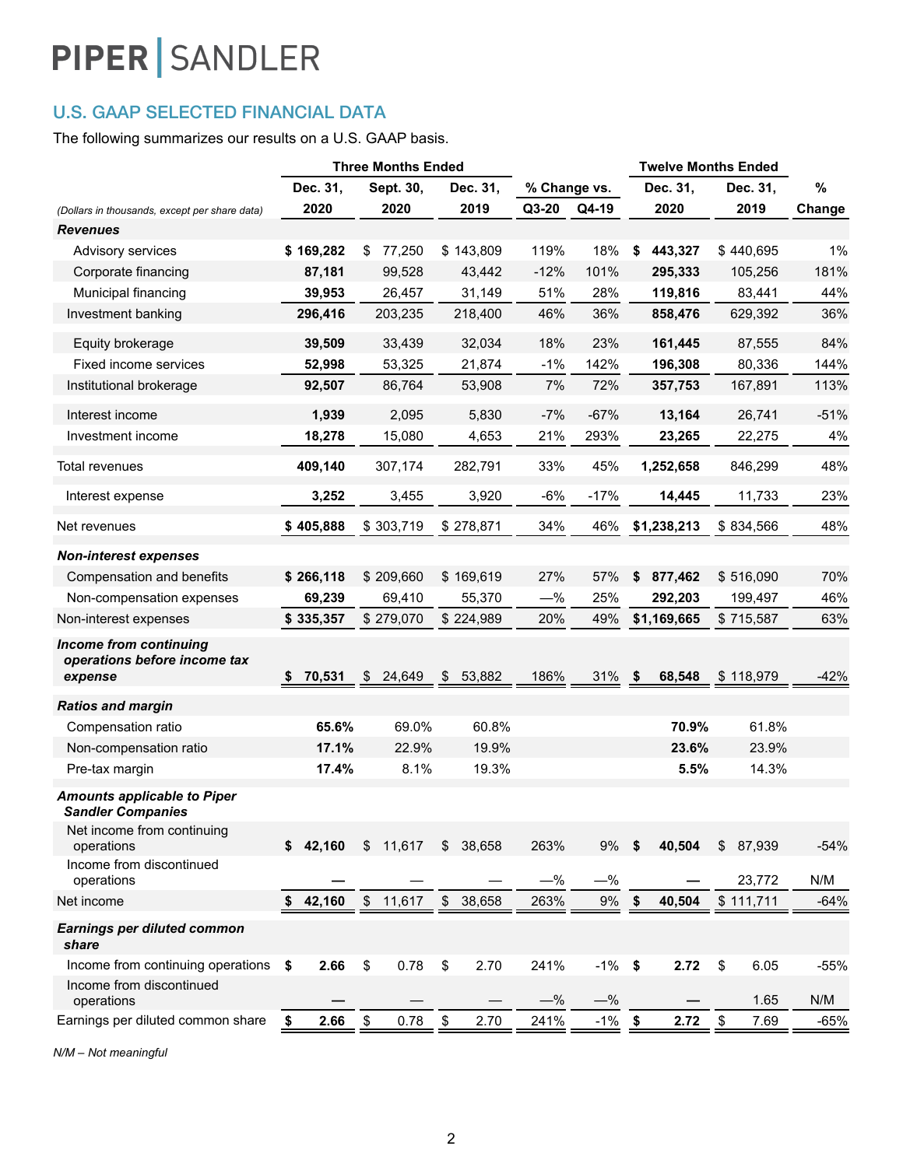## U.S. GAAP SELECTED FINANCIAL DATA

The following summarizes our results on a U.S. GAAP basis.

| $\%$<br>Dec. 31,<br>Sept. 30,<br>Dec. 31,<br>Dec. 31,<br>% Change vs.<br>Dec. 31,<br>Q3-20<br>2020<br>2020<br>2019<br>Q4-19<br>2020<br>2019<br>Change<br>(Dollars in thousands, except per share data)<br><b>Revenues</b><br>18%<br>\$169,282<br>77,250<br>\$143,809<br>119%<br>\$<br>443,327<br>\$440,695<br>1%<br>\$<br>Advisory services<br>101%<br>181%<br>87,181<br>99,528<br>43,442<br>$-12%$<br>295,333<br>105,256<br>Corporate financing<br>28%<br>44%<br>Municipal financing<br>39,953<br>31,149<br>51%<br>119,816<br>83,441<br>26,457<br>Investment banking<br>296,416<br>46%<br>36%<br>203,235<br>218,400<br>858,476<br>629,392<br>36%<br>18%<br>23%<br>161,445<br>84%<br>39,509<br>33,439<br>32,034<br>87,555<br>Equity brokerage<br>Fixed income services<br>52,998<br>53,325<br>21,874<br>$-1%$<br>142%<br>196,308<br>80,336<br>144%<br>Institutional brokerage<br>7%<br>72%<br>113%<br>92,507<br>86,764<br>53,908<br>357,753<br>167,891<br>1,939<br>5,830<br>$-7%$<br>$-67%$<br>$-51%$<br>Interest income<br>2,095<br>13,164<br>26,741<br>21%<br>293%<br>22,275<br>4%<br>Investment income<br>18,278<br>15,080<br>4,653<br>23,265<br>409,140<br>45%<br>846,299<br>48%<br>Total revenues<br>307,174<br>282,791<br>33%<br>1,252,658<br>$-6%$<br>$-17%$<br>23%<br>3,252<br>3,455<br>3,920<br>14,445<br>11,733<br>Interest expense<br>\$405,888<br>\$303,719<br>34%<br>46%<br>\$1,238,213<br>\$834,566<br>48%<br>\$278,871<br>Net revenues<br><b>Non-interest expenses</b><br>\$266,118<br>\$209,660<br>\$169,619<br>27%<br>57%<br>877,462<br>\$516,090<br>70%<br>Compensation and benefits<br>\$<br>69,239<br>69,410<br>55,370<br>$-\%$<br>25%<br>292,203<br>199,497<br>46%<br>Non-compensation expenses<br>\$335,357<br>\$279,070<br>\$224,989<br>20%<br>49%<br>\$1,169,665<br>63%<br>Non-interest expenses<br>\$715,587<br><b>Income from continuing</b><br>operations before income tax<br>53,882<br>186%<br>31%<br>$-42%$<br>70,531<br>\$<br>24,649<br>\$<br>68,548<br>\$118,979<br>\$<br>expense<br>\$<br><b>Ratios and margin</b><br>Compensation ratio<br>65.6%<br>69.0%<br>60.8%<br>70.9%<br>61.8%<br>17.1%<br>22.9%<br>19.9%<br>23.6%<br>23.9%<br>Non-compensation ratio<br>17.4%<br>8.1%<br>19.3%<br>5.5%<br>14.3%<br>Pre-tax margin<br><b>Amounts applicable to Piper</b><br><b>Sandler Companies</b><br>Net income from continuing<br>\$42,160<br>\$11,617<br>38,658<br>263%<br>9%<br>40,504<br>\$<br>87,939<br>$-54%$<br>operations<br>\$<br>\$<br>Income from discontinued<br>$-$ %<br>operations<br>$-\%$<br>23,772<br>N/M<br>\$11,617<br>\$38,658<br>$9\%$<br>42,160<br>263%<br>40,504<br>\$111,711<br>Net income<br>\$<br>\$<br>$-64%$<br><b>Earnings per diluted common</b><br>share<br>\$<br>\$<br>2.70<br>241%<br>$-1\%$<br>Income from continuing operations<br>2.66<br>0.78<br>-\$<br>2.72<br>\$<br>6.05<br>$-55%$<br>\$<br>Income from discontinued<br>$-$ %<br>N/M<br>$-\%$<br>1.65<br>operations<br>$\boldsymbol{\$}$<br>0.78<br>2.66<br>\$<br>2.70<br>241%<br>$-1%$<br>2.72<br>$\sqrt[6]{\frac{2}{5}}$<br>Earnings per diluted common share<br>7.69<br>\$<br>$\sqrt{2}$<br>$-65%$ | <b>Three Months Ended</b> |  |  |  | <b>Twelve Months Ended</b> |  |  |  |
|-------------------------------------------------------------------------------------------------------------------------------------------------------------------------------------------------------------------------------------------------------------------------------------------------------------------------------------------------------------------------------------------------------------------------------------------------------------------------------------------------------------------------------------------------------------------------------------------------------------------------------------------------------------------------------------------------------------------------------------------------------------------------------------------------------------------------------------------------------------------------------------------------------------------------------------------------------------------------------------------------------------------------------------------------------------------------------------------------------------------------------------------------------------------------------------------------------------------------------------------------------------------------------------------------------------------------------------------------------------------------------------------------------------------------------------------------------------------------------------------------------------------------------------------------------------------------------------------------------------------------------------------------------------------------------------------------------------------------------------------------------------------------------------------------------------------------------------------------------------------------------------------------------------------------------------------------------------------------------------------------------------------------------------------------------------------------------------------------------------------------------------------------------------------------------------------------------------------------------------------------------------------------------------------------------------------------------------------------------------------------------------------------------------------------------------------------------------------------------------------------------------------------------------------------------------------------------------------------------------------------------------------------------------------------------------------------------------------------------------------------------------------------------------------------------------------------------------------------------------------------------------------------------------------------------------------------------------------------------------------------------------------------------------------------------------------------------------------------------------------------|---------------------------|--|--|--|----------------------------|--|--|--|
|                                                                                                                                                                                                                                                                                                                                                                                                                                                                                                                                                                                                                                                                                                                                                                                                                                                                                                                                                                                                                                                                                                                                                                                                                                                                                                                                                                                                                                                                                                                                                                                                                                                                                                                                                                                                                                                                                                                                                                                                                                                                                                                                                                                                                                                                                                                                                                                                                                                                                                                                                                                                                                                                                                                                                                                                                                                                                                                                                                                                                                                                                                                         |                           |  |  |  |                            |  |  |  |
|                                                                                                                                                                                                                                                                                                                                                                                                                                                                                                                                                                                                                                                                                                                                                                                                                                                                                                                                                                                                                                                                                                                                                                                                                                                                                                                                                                                                                                                                                                                                                                                                                                                                                                                                                                                                                                                                                                                                                                                                                                                                                                                                                                                                                                                                                                                                                                                                                                                                                                                                                                                                                                                                                                                                                                                                                                                                                                                                                                                                                                                                                                                         |                           |  |  |  |                            |  |  |  |
|                                                                                                                                                                                                                                                                                                                                                                                                                                                                                                                                                                                                                                                                                                                                                                                                                                                                                                                                                                                                                                                                                                                                                                                                                                                                                                                                                                                                                                                                                                                                                                                                                                                                                                                                                                                                                                                                                                                                                                                                                                                                                                                                                                                                                                                                                                                                                                                                                                                                                                                                                                                                                                                                                                                                                                                                                                                                                                                                                                                                                                                                                                                         |                           |  |  |  |                            |  |  |  |
|                                                                                                                                                                                                                                                                                                                                                                                                                                                                                                                                                                                                                                                                                                                                                                                                                                                                                                                                                                                                                                                                                                                                                                                                                                                                                                                                                                                                                                                                                                                                                                                                                                                                                                                                                                                                                                                                                                                                                                                                                                                                                                                                                                                                                                                                                                                                                                                                                                                                                                                                                                                                                                                                                                                                                                                                                                                                                                                                                                                                                                                                                                                         |                           |  |  |  |                            |  |  |  |
|                                                                                                                                                                                                                                                                                                                                                                                                                                                                                                                                                                                                                                                                                                                                                                                                                                                                                                                                                                                                                                                                                                                                                                                                                                                                                                                                                                                                                                                                                                                                                                                                                                                                                                                                                                                                                                                                                                                                                                                                                                                                                                                                                                                                                                                                                                                                                                                                                                                                                                                                                                                                                                                                                                                                                                                                                                                                                                                                                                                                                                                                                                                         |                           |  |  |  |                            |  |  |  |
|                                                                                                                                                                                                                                                                                                                                                                                                                                                                                                                                                                                                                                                                                                                                                                                                                                                                                                                                                                                                                                                                                                                                                                                                                                                                                                                                                                                                                                                                                                                                                                                                                                                                                                                                                                                                                                                                                                                                                                                                                                                                                                                                                                                                                                                                                                                                                                                                                                                                                                                                                                                                                                                                                                                                                                                                                                                                                                                                                                                                                                                                                                                         |                           |  |  |  |                            |  |  |  |
|                                                                                                                                                                                                                                                                                                                                                                                                                                                                                                                                                                                                                                                                                                                                                                                                                                                                                                                                                                                                                                                                                                                                                                                                                                                                                                                                                                                                                                                                                                                                                                                                                                                                                                                                                                                                                                                                                                                                                                                                                                                                                                                                                                                                                                                                                                                                                                                                                                                                                                                                                                                                                                                                                                                                                                                                                                                                                                                                                                                                                                                                                                                         |                           |  |  |  |                            |  |  |  |
|                                                                                                                                                                                                                                                                                                                                                                                                                                                                                                                                                                                                                                                                                                                                                                                                                                                                                                                                                                                                                                                                                                                                                                                                                                                                                                                                                                                                                                                                                                                                                                                                                                                                                                                                                                                                                                                                                                                                                                                                                                                                                                                                                                                                                                                                                                                                                                                                                                                                                                                                                                                                                                                                                                                                                                                                                                                                                                                                                                                                                                                                                                                         |                           |  |  |  |                            |  |  |  |
|                                                                                                                                                                                                                                                                                                                                                                                                                                                                                                                                                                                                                                                                                                                                                                                                                                                                                                                                                                                                                                                                                                                                                                                                                                                                                                                                                                                                                                                                                                                                                                                                                                                                                                                                                                                                                                                                                                                                                                                                                                                                                                                                                                                                                                                                                                                                                                                                                                                                                                                                                                                                                                                                                                                                                                                                                                                                                                                                                                                                                                                                                                                         |                           |  |  |  |                            |  |  |  |
|                                                                                                                                                                                                                                                                                                                                                                                                                                                                                                                                                                                                                                                                                                                                                                                                                                                                                                                                                                                                                                                                                                                                                                                                                                                                                                                                                                                                                                                                                                                                                                                                                                                                                                                                                                                                                                                                                                                                                                                                                                                                                                                                                                                                                                                                                                                                                                                                                                                                                                                                                                                                                                                                                                                                                                                                                                                                                                                                                                                                                                                                                                                         |                           |  |  |  |                            |  |  |  |
|                                                                                                                                                                                                                                                                                                                                                                                                                                                                                                                                                                                                                                                                                                                                                                                                                                                                                                                                                                                                                                                                                                                                                                                                                                                                                                                                                                                                                                                                                                                                                                                                                                                                                                                                                                                                                                                                                                                                                                                                                                                                                                                                                                                                                                                                                                                                                                                                                                                                                                                                                                                                                                                                                                                                                                                                                                                                                                                                                                                                                                                                                                                         |                           |  |  |  |                            |  |  |  |
|                                                                                                                                                                                                                                                                                                                                                                                                                                                                                                                                                                                                                                                                                                                                                                                                                                                                                                                                                                                                                                                                                                                                                                                                                                                                                                                                                                                                                                                                                                                                                                                                                                                                                                                                                                                                                                                                                                                                                                                                                                                                                                                                                                                                                                                                                                                                                                                                                                                                                                                                                                                                                                                                                                                                                                                                                                                                                                                                                                                                                                                                                                                         |                           |  |  |  |                            |  |  |  |
|                                                                                                                                                                                                                                                                                                                                                                                                                                                                                                                                                                                                                                                                                                                                                                                                                                                                                                                                                                                                                                                                                                                                                                                                                                                                                                                                                                                                                                                                                                                                                                                                                                                                                                                                                                                                                                                                                                                                                                                                                                                                                                                                                                                                                                                                                                                                                                                                                                                                                                                                                                                                                                                                                                                                                                                                                                                                                                                                                                                                                                                                                                                         |                           |  |  |  |                            |  |  |  |
|                                                                                                                                                                                                                                                                                                                                                                                                                                                                                                                                                                                                                                                                                                                                                                                                                                                                                                                                                                                                                                                                                                                                                                                                                                                                                                                                                                                                                                                                                                                                                                                                                                                                                                                                                                                                                                                                                                                                                                                                                                                                                                                                                                                                                                                                                                                                                                                                                                                                                                                                                                                                                                                                                                                                                                                                                                                                                                                                                                                                                                                                                                                         |                           |  |  |  |                            |  |  |  |
|                                                                                                                                                                                                                                                                                                                                                                                                                                                                                                                                                                                                                                                                                                                                                                                                                                                                                                                                                                                                                                                                                                                                                                                                                                                                                                                                                                                                                                                                                                                                                                                                                                                                                                                                                                                                                                                                                                                                                                                                                                                                                                                                                                                                                                                                                                                                                                                                                                                                                                                                                                                                                                                                                                                                                                                                                                                                                                                                                                                                                                                                                                                         |                           |  |  |  |                            |  |  |  |
|                                                                                                                                                                                                                                                                                                                                                                                                                                                                                                                                                                                                                                                                                                                                                                                                                                                                                                                                                                                                                                                                                                                                                                                                                                                                                                                                                                                                                                                                                                                                                                                                                                                                                                                                                                                                                                                                                                                                                                                                                                                                                                                                                                                                                                                                                                                                                                                                                                                                                                                                                                                                                                                                                                                                                                                                                                                                                                                                                                                                                                                                                                                         |                           |  |  |  |                            |  |  |  |
|                                                                                                                                                                                                                                                                                                                                                                                                                                                                                                                                                                                                                                                                                                                                                                                                                                                                                                                                                                                                                                                                                                                                                                                                                                                                                                                                                                                                                                                                                                                                                                                                                                                                                                                                                                                                                                                                                                                                                                                                                                                                                                                                                                                                                                                                                                                                                                                                                                                                                                                                                                                                                                                                                                                                                                                                                                                                                                                                                                                                                                                                                                                         |                           |  |  |  |                            |  |  |  |
|                                                                                                                                                                                                                                                                                                                                                                                                                                                                                                                                                                                                                                                                                                                                                                                                                                                                                                                                                                                                                                                                                                                                                                                                                                                                                                                                                                                                                                                                                                                                                                                                                                                                                                                                                                                                                                                                                                                                                                                                                                                                                                                                                                                                                                                                                                                                                                                                                                                                                                                                                                                                                                                                                                                                                                                                                                                                                                                                                                                                                                                                                                                         |                           |  |  |  |                            |  |  |  |
|                                                                                                                                                                                                                                                                                                                                                                                                                                                                                                                                                                                                                                                                                                                                                                                                                                                                                                                                                                                                                                                                                                                                                                                                                                                                                                                                                                                                                                                                                                                                                                                                                                                                                                                                                                                                                                                                                                                                                                                                                                                                                                                                                                                                                                                                                                                                                                                                                                                                                                                                                                                                                                                                                                                                                                                                                                                                                                                                                                                                                                                                                                                         |                           |  |  |  |                            |  |  |  |
|                                                                                                                                                                                                                                                                                                                                                                                                                                                                                                                                                                                                                                                                                                                                                                                                                                                                                                                                                                                                                                                                                                                                                                                                                                                                                                                                                                                                                                                                                                                                                                                                                                                                                                                                                                                                                                                                                                                                                                                                                                                                                                                                                                                                                                                                                                                                                                                                                                                                                                                                                                                                                                                                                                                                                                                                                                                                                                                                                                                                                                                                                                                         |                           |  |  |  |                            |  |  |  |
|                                                                                                                                                                                                                                                                                                                                                                                                                                                                                                                                                                                                                                                                                                                                                                                                                                                                                                                                                                                                                                                                                                                                                                                                                                                                                                                                                                                                                                                                                                                                                                                                                                                                                                                                                                                                                                                                                                                                                                                                                                                                                                                                                                                                                                                                                                                                                                                                                                                                                                                                                                                                                                                                                                                                                                                                                                                                                                                                                                                                                                                                                                                         |                           |  |  |  |                            |  |  |  |
|                                                                                                                                                                                                                                                                                                                                                                                                                                                                                                                                                                                                                                                                                                                                                                                                                                                                                                                                                                                                                                                                                                                                                                                                                                                                                                                                                                                                                                                                                                                                                                                                                                                                                                                                                                                                                                                                                                                                                                                                                                                                                                                                                                                                                                                                                                                                                                                                                                                                                                                                                                                                                                                                                                                                                                                                                                                                                                                                                                                                                                                                                                                         |                           |  |  |  |                            |  |  |  |
|                                                                                                                                                                                                                                                                                                                                                                                                                                                                                                                                                                                                                                                                                                                                                                                                                                                                                                                                                                                                                                                                                                                                                                                                                                                                                                                                                                                                                                                                                                                                                                                                                                                                                                                                                                                                                                                                                                                                                                                                                                                                                                                                                                                                                                                                                                                                                                                                                                                                                                                                                                                                                                                                                                                                                                                                                                                                                                                                                                                                                                                                                                                         |                           |  |  |  |                            |  |  |  |
|                                                                                                                                                                                                                                                                                                                                                                                                                                                                                                                                                                                                                                                                                                                                                                                                                                                                                                                                                                                                                                                                                                                                                                                                                                                                                                                                                                                                                                                                                                                                                                                                                                                                                                                                                                                                                                                                                                                                                                                                                                                                                                                                                                                                                                                                                                                                                                                                                                                                                                                                                                                                                                                                                                                                                                                                                                                                                                                                                                                                                                                                                                                         |                           |  |  |  |                            |  |  |  |
|                                                                                                                                                                                                                                                                                                                                                                                                                                                                                                                                                                                                                                                                                                                                                                                                                                                                                                                                                                                                                                                                                                                                                                                                                                                                                                                                                                                                                                                                                                                                                                                                                                                                                                                                                                                                                                                                                                                                                                                                                                                                                                                                                                                                                                                                                                                                                                                                                                                                                                                                                                                                                                                                                                                                                                                                                                                                                                                                                                                                                                                                                                                         |                           |  |  |  |                            |  |  |  |
|                                                                                                                                                                                                                                                                                                                                                                                                                                                                                                                                                                                                                                                                                                                                                                                                                                                                                                                                                                                                                                                                                                                                                                                                                                                                                                                                                                                                                                                                                                                                                                                                                                                                                                                                                                                                                                                                                                                                                                                                                                                                                                                                                                                                                                                                                                                                                                                                                                                                                                                                                                                                                                                                                                                                                                                                                                                                                                                                                                                                                                                                                                                         |                           |  |  |  |                            |  |  |  |
|                                                                                                                                                                                                                                                                                                                                                                                                                                                                                                                                                                                                                                                                                                                                                                                                                                                                                                                                                                                                                                                                                                                                                                                                                                                                                                                                                                                                                                                                                                                                                                                                                                                                                                                                                                                                                                                                                                                                                                                                                                                                                                                                                                                                                                                                                                                                                                                                                                                                                                                                                                                                                                                                                                                                                                                                                                                                                                                                                                                                                                                                                                                         |                           |  |  |  |                            |  |  |  |
|                                                                                                                                                                                                                                                                                                                                                                                                                                                                                                                                                                                                                                                                                                                                                                                                                                                                                                                                                                                                                                                                                                                                                                                                                                                                                                                                                                                                                                                                                                                                                                                                                                                                                                                                                                                                                                                                                                                                                                                                                                                                                                                                                                                                                                                                                                                                                                                                                                                                                                                                                                                                                                                                                                                                                                                                                                                                                                                                                                                                                                                                                                                         |                           |  |  |  |                            |  |  |  |
|                                                                                                                                                                                                                                                                                                                                                                                                                                                                                                                                                                                                                                                                                                                                                                                                                                                                                                                                                                                                                                                                                                                                                                                                                                                                                                                                                                                                                                                                                                                                                                                                                                                                                                                                                                                                                                                                                                                                                                                                                                                                                                                                                                                                                                                                                                                                                                                                                                                                                                                                                                                                                                                                                                                                                                                                                                                                                                                                                                                                                                                                                                                         |                           |  |  |  |                            |  |  |  |
|                                                                                                                                                                                                                                                                                                                                                                                                                                                                                                                                                                                                                                                                                                                                                                                                                                                                                                                                                                                                                                                                                                                                                                                                                                                                                                                                                                                                                                                                                                                                                                                                                                                                                                                                                                                                                                                                                                                                                                                                                                                                                                                                                                                                                                                                                                                                                                                                                                                                                                                                                                                                                                                                                                                                                                                                                                                                                                                                                                                                                                                                                                                         |                           |  |  |  |                            |  |  |  |
|                                                                                                                                                                                                                                                                                                                                                                                                                                                                                                                                                                                                                                                                                                                                                                                                                                                                                                                                                                                                                                                                                                                                                                                                                                                                                                                                                                                                                                                                                                                                                                                                                                                                                                                                                                                                                                                                                                                                                                                                                                                                                                                                                                                                                                                                                                                                                                                                                                                                                                                                                                                                                                                                                                                                                                                                                                                                                                                                                                                                                                                                                                                         |                           |  |  |  |                            |  |  |  |
|                                                                                                                                                                                                                                                                                                                                                                                                                                                                                                                                                                                                                                                                                                                                                                                                                                                                                                                                                                                                                                                                                                                                                                                                                                                                                                                                                                                                                                                                                                                                                                                                                                                                                                                                                                                                                                                                                                                                                                                                                                                                                                                                                                                                                                                                                                                                                                                                                                                                                                                                                                                                                                                                                                                                                                                                                                                                                                                                                                                                                                                                                                                         |                           |  |  |  |                            |  |  |  |

*N/M – Not meaningful*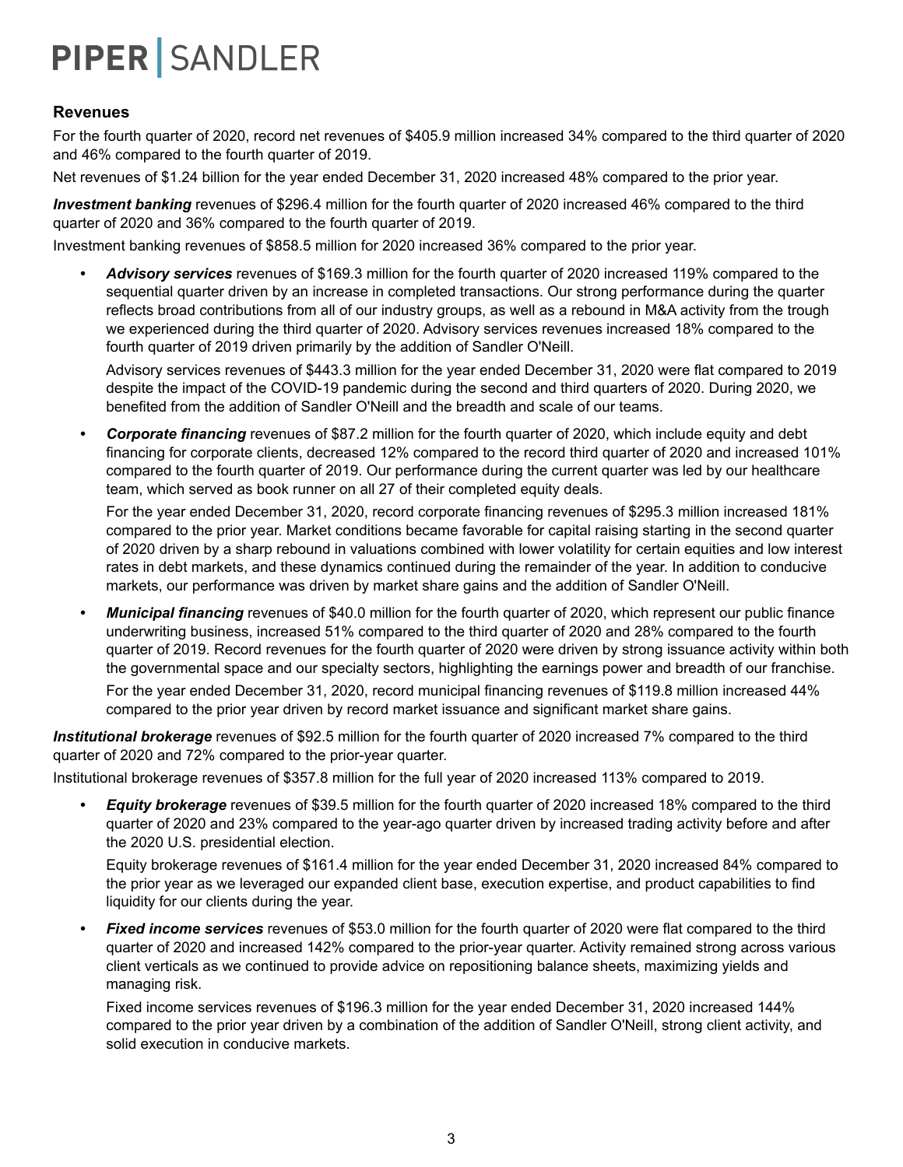#### **Revenues**

For the fourth quarter of 2020, record net revenues of \$405.9 million increased 34% compared to the third quarter of 2020 and 46% compared to the fourth quarter of 2019.

Net revenues of \$1.24 billion for the year ended December 31, 2020 increased 48% compared to the prior year.

*Investment banking* revenues of \$296.4 million for the fourth quarter of 2020 increased 46% compared to the third quarter of 2020 and 36% compared to the fourth quarter of 2019.

Investment banking revenues of \$858.5 million for 2020 increased 36% compared to the prior year.

*• Advisory services* revenues of \$169.3 million for the fourth quarter of 2020 increased 119% compared to the sequential quarter driven by an increase in completed transactions. Our strong performance during the quarter reflects broad contributions from all of our industry groups, as well as a rebound in M&A activity from the trough we experienced during the third quarter of 2020. Advisory services revenues increased 18% compared to the fourth quarter of 2019 driven primarily by the addition of Sandler O'Neill.

Advisory services revenues of \$443.3 million for the year ended December 31, 2020 were flat compared to 2019 despite the impact of the COVID-19 pandemic during the second and third quarters of 2020. During 2020, we benefited from the addition of Sandler O'Neill and the breadth and scale of our teams.

*• Corporate financing* revenues of \$87.2 million for the fourth quarter of 2020, which include equity and debt financing for corporate clients, decreased 12% compared to the record third quarter of 2020 and increased 101% compared to the fourth quarter of 2019. Our performance during the current quarter was led by our healthcare team, which served as book runner on all 27 of their completed equity deals.

For the year ended December 31, 2020, record corporate financing revenues of \$295.3 million increased 181% compared to the prior year. Market conditions became favorable for capital raising starting in the second quarter of 2020 driven by a sharp rebound in valuations combined with lower volatility for certain equities and low interest rates in debt markets, and these dynamics continued during the remainder of the year. In addition to conducive markets, our performance was driven by market share gains and the addition of Sandler O'Neill.

*• Municipal financing* revenues of \$40.0 million for the fourth quarter of 2020, which represent our public finance underwriting business, increased 51% compared to the third quarter of 2020 and 28% compared to the fourth quarter of 2019. Record revenues for the fourth quarter of 2020 were driven by strong issuance activity within both the governmental space and our specialty sectors, highlighting the earnings power and breadth of our franchise.

For the year ended December 31, 2020, record municipal financing revenues of \$119.8 million increased 44% compared to the prior year driven by record market issuance and significant market share gains.

*Institutional brokerage* revenues of \$92.5 million for the fourth quarter of 2020 increased 7% compared to the third quarter of 2020 and 72% compared to the prior-year quarter.

Institutional brokerage revenues of \$357.8 million for the full year of 2020 increased 113% compared to 2019.

*• Equity brokerage* revenues of \$39.5 million for the fourth quarter of 2020 increased 18% compared to the third quarter of 2020 and 23% compared to the year-ago quarter driven by increased trading activity before and after the 2020 U.S. presidential election.

Equity brokerage revenues of \$161.4 million for the year ended December 31, 2020 increased 84% compared to the prior year as we leveraged our expanded client base, execution expertise, and product capabilities to find liquidity for our clients during the year.

*• Fixed income services* revenues of \$53.0 million for the fourth quarter of 2020 were flat compared to the third quarter of 2020 and increased 142% compared to the prior-year quarter. Activity remained strong across various client verticals as we continued to provide advice on repositioning balance sheets, maximizing yields and managing risk.

Fixed income services revenues of \$196.3 million for the year ended December 31, 2020 increased 144% compared to the prior year driven by a combination of the addition of Sandler O'Neill, strong client activity, and solid execution in conducive markets.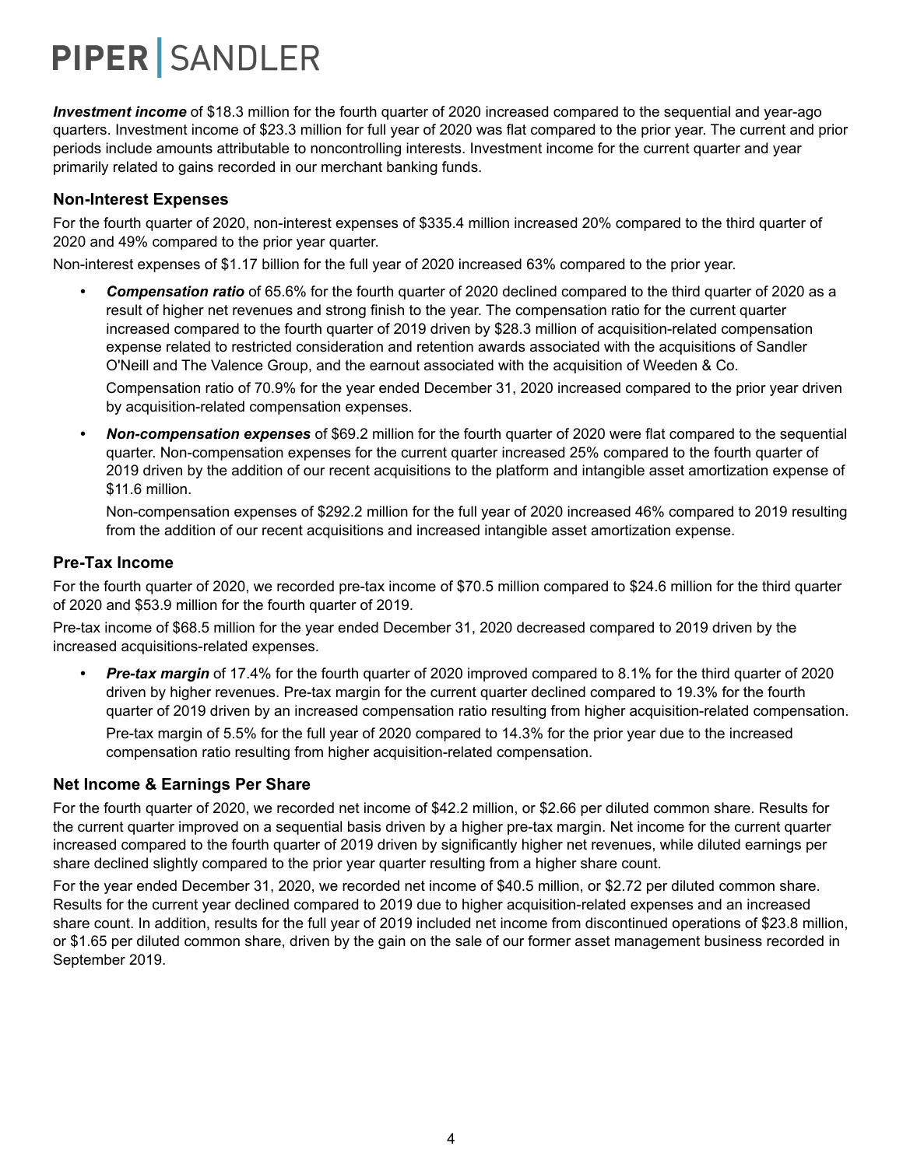*Investment income* of \$18.3 million for the fourth quarter of 2020 increased compared to the sequential and year-ago quarters. Investment income of \$23.3 million for full year of 2020 was flat compared to the prior year. The current and prior periods include amounts attributable to noncontrolling interests. Investment income for the current quarter and year primarily related to gains recorded in our merchant banking funds.

#### **Non-Interest Expenses**

For the fourth quarter of 2020, non-interest expenses of \$335.4 million increased 20% compared to the third quarter of 2020 and 49% compared to the prior year quarter.

Non-interest expenses of \$1.17 billion for the full year of 2020 increased 63% compared to the prior year.

*• Compensation ratio* of 65.6% for the fourth quarter of 2020 declined compared to the third quarter of 2020 as a result of higher net revenues and strong finish to the year. The compensation ratio for the current quarter increased compared to the fourth quarter of 2019 driven by \$28.3 million of acquisition-related compensation expense related to restricted consideration and retention awards associated with the acquisitions of Sandler O'Neill and The Valence Group, and the earnout associated with the acquisition of Weeden & Co.

Compensation ratio of 70.9% for the year ended December 31, 2020 increased compared to the prior year driven by acquisition-related compensation expenses.

*• Non-compensation expenses* of \$69.2 million for the fourth quarter of 2020 were flat compared to the sequential quarter. Non-compensation expenses for the current quarter increased 25% compared to the fourth quarter of 2019 driven by the addition of our recent acquisitions to the platform and intangible asset amortization expense of \$11.6 million.

Non-compensation expenses of \$292.2 million for the full year of 2020 increased 46% compared to 2019 resulting from the addition of our recent acquisitions and increased intangible asset amortization expense.

#### **Pre-Tax Income**

For the fourth quarter of 2020, we recorded pre-tax income of \$70.5 million compared to \$24.6 million for the third quarter of 2020 and \$53.9 million for the fourth quarter of 2019.

Pre-tax income of \$68.5 million for the year ended December 31, 2020 decreased compared to 2019 driven by the increased acquisitions-related expenses.

*• Pre-tax margin* of 17.4% for the fourth quarter of 2020 improved compared to 8.1% for the third quarter of 2020 driven by higher revenues. Pre-tax margin for the current quarter declined compared to 19.3% for the fourth quarter of 2019 driven by an increased compensation ratio resulting from higher acquisition-related compensation. Pre-tax margin of 5.5% for the full year of 2020 compared to 14.3% for the prior year due to the increased compensation ratio resulting from higher acquisition-related compensation.

#### **Net Income & Earnings Per Share**

For the fourth quarter of 2020, we recorded net income of \$42.2 million, or \$2.66 per diluted common share. Results for the current quarter improved on a sequential basis driven by a higher pre-tax margin. Net income for the current quarter increased compared to the fourth quarter of 2019 driven by significantly higher net revenues, while diluted earnings per share declined slightly compared to the prior year quarter resulting from a higher share count.

For the year ended December 31, 2020, we recorded net income of \$40.5 million, or \$2.72 per diluted common share. Results for the current year declined compared to 2019 due to higher acquisition-related expenses and an increased share count. In addition, results for the full year of 2019 included net income from discontinued operations of \$23.8 million, or \$1.65 per diluted common share, driven by the gain on the sale of our former asset management business recorded in September 2019.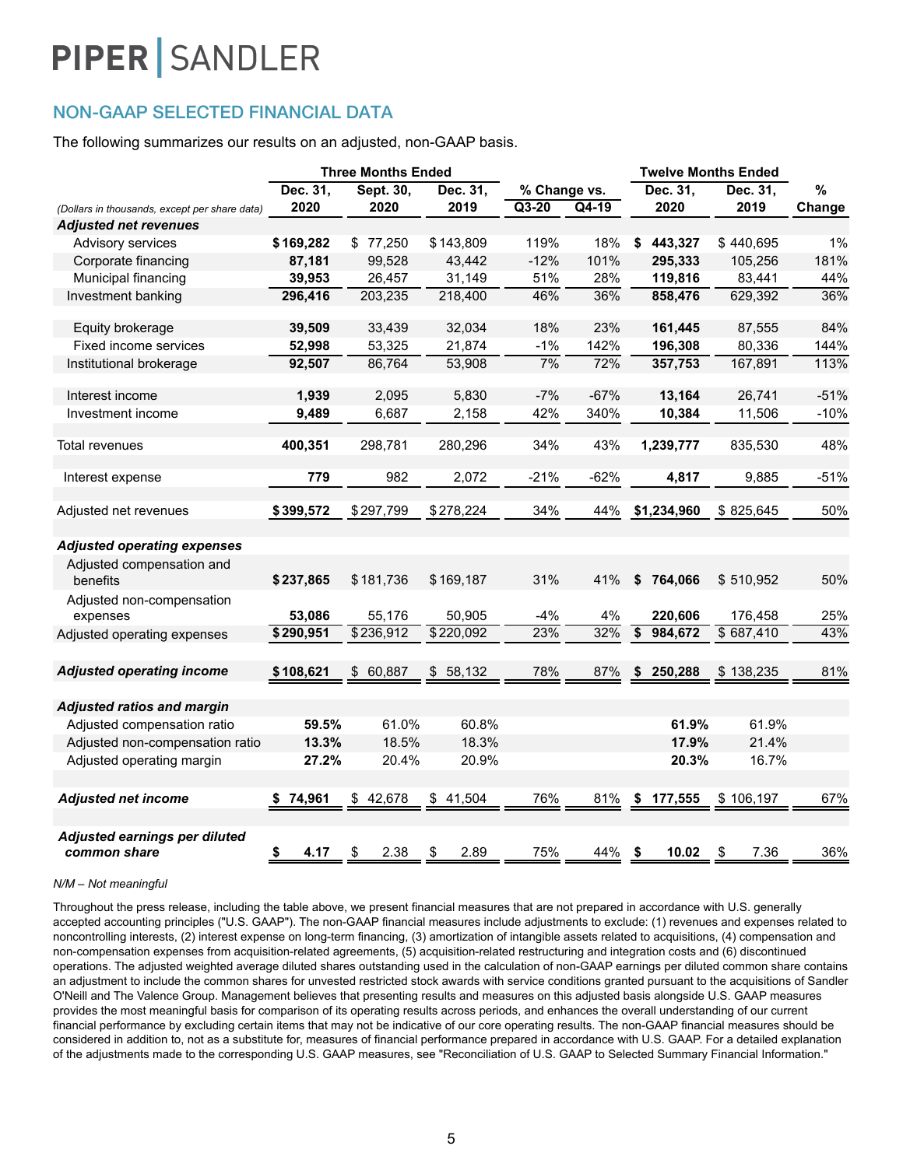### NON-GAAP SELECTED FINANCIAL DATA

The following summarizes our results on an adjusted, non-GAAP basis.

|                                               | <b>Three Months Ended</b> |              |            | <b>Twelve Months Ended</b> |        |                            |            |        |
|-----------------------------------------------|---------------------------|--------------|------------|----------------------------|--------|----------------------------|------------|--------|
|                                               | Dec. 31,                  | Sept. 30,    | Dec. 31,   | % Change vs.               |        | Dec. 31,                   | Dec. 31,   | $\%$   |
| (Dollars in thousands, except per share data) | 2020                      | 2020         | 2019       | $Q3-20$                    | Q4-19  | 2020                       | 2019       | Change |
| <b>Adjusted net revenues</b>                  |                           |              |            |                            |        |                            |            |        |
| Advisory services                             | \$169,282                 | 77,250<br>\$ | \$143,809  | 119%                       | 18%    | 443,327<br>\$              | \$440,695  | 1%     |
| Corporate financing                           | 87,181                    | 99,528       | 43,442     | $-12%$                     | 101%   | 295,333                    | 105,256    | 181%   |
| Municipal financing                           | 39,953                    | 26,457       | 31,149     | 51%                        | 28%    | 119,816                    | 83,441     | 44%    |
| Investment banking                            | 296,416                   | 203,235      | 218,400    | 46%                        | 36%    | 858,476                    | 629,392    | 36%    |
| Equity brokerage                              | 39,509                    | 33,439       | 32,034     | 18%                        | 23%    | 161,445                    | 87,555     | 84%    |
| Fixed income services                         | 52,998                    | 53,325       | 21,874     | $-1%$                      | 142%   | 196,308                    | 80,336     | 144%   |
| Institutional brokerage                       | 92,507                    | 86,764       | 53,908     | 7%                         | 72%    | 357,753                    | 167,891    | 113%   |
| Interest income                               | 1,939                     | 2,095        | 5,830      | $-7%$                      | $-67%$ | 13,164                     | 26,741     | $-51%$ |
| Investment income                             | 9,489                     | 6,687        | 2,158      | 42%                        | 340%   | 10,384                     | 11,506     | $-10%$ |
| Total revenues                                | 400,351                   | 298,781      | 280,296    | 34%                        | 43%    | 1,239,777                  | 835,530    | 48%    |
| Interest expense                              | 779                       | 982          | 2,072      | $-21%$                     | $-62%$ | 4,817                      | 9,885      | $-51%$ |
| Adjusted net revenues                         | \$399,572                 | \$297,799    | \$278,224  | 34%                        | 44%    | \$1,234,960                | \$825,645  | 50%    |
| <b>Adjusted operating expenses</b>            |                           |              |            |                            |        |                            |            |        |
| Adjusted compensation and<br>benefits         | \$237,865                 | \$181,736    | \$169,187  | 31%                        | 41%    | \$<br>764,066              | \$510,952  | 50%    |
| Adjusted non-compensation<br>expenses         | 53,086                    | 55,176       | 50,905     | $-4%$                      | 4%     | 220,606                    | 176,458    | 25%    |
| Adjusted operating expenses                   | \$290,951                 | \$236,912    | \$220,092  | 23%                        | 32%    | $\overline{\$}$<br>984,672 | \$687,410  | 43%    |
| <b>Adjusted operating income</b>              | \$108,621                 | 60,887<br>\$ | \$58,132   | 78%                        | 87%    | 250,288                    | \$138,235  | 81%    |
| <b>Adjusted ratios and margin</b>             |                           |              |            |                            |        |                            |            |        |
| Adjusted compensation ratio                   | 59.5%                     | 61.0%        | 60.8%      |                            |        | 61.9%                      | 61.9%      |        |
| Adjusted non-compensation ratio               | 13.3%                     | 18.5%        | 18.3%      |                            |        | 17.9%                      | 21.4%      |        |
| Adjusted operating margin                     | 27.2%                     | 20.4%        | 20.9%      |                            |        | 20.3%                      | 16.7%      |        |
| <b>Adjusted net income</b>                    | 74,961<br>\$              | \$42,678     | \$41,504   | 76%                        | 81%    | \$<br>177,555              | \$106,197  | 67%    |
| Adjusted earnings per diluted<br>common share | \$<br>4.17                | 2.38<br>\$   | 2.89<br>\$ | 75%                        | 44%    | 10.02<br>- \$              | \$<br>7.36 | 36%    |

#### *N/M – Not meaningful*

Throughout the press release, including the table above, we present financial measures that are not prepared in accordance with U.S. generally accepted accounting principles ("U.S. GAAP"). The non-GAAP financial measures include adjustments to exclude: (1) revenues and expenses related to noncontrolling interests, (2) interest expense on long-term financing, (3) amortization of intangible assets related to acquisitions, (4) compensation and non-compensation expenses from acquisition-related agreements, (5) acquisition-related restructuring and integration costs and (6) discontinued operations. The adjusted weighted average diluted shares outstanding used in the calculation of non-GAAP earnings per diluted common share contains an adjustment to include the common shares for unvested restricted stock awards with service conditions granted pursuant to the acquisitions of Sandler O'Neill and The Valence Group. Management believes that presenting results and measures on this adjusted basis alongside U.S. GAAP measures provides the most meaningful basis for comparison of its operating results across periods, and enhances the overall understanding of our current financial performance by excluding certain items that may not be indicative of our core operating results. The non-GAAP financial measures should be considered in addition to, not as a substitute for, measures of financial performance prepared in accordance with U.S. GAAP. For a detailed explanation of the adjustments made to the corresponding U.S. GAAP measures, see "Reconciliation of U.S. GAAP to Selected Summary Financial Information."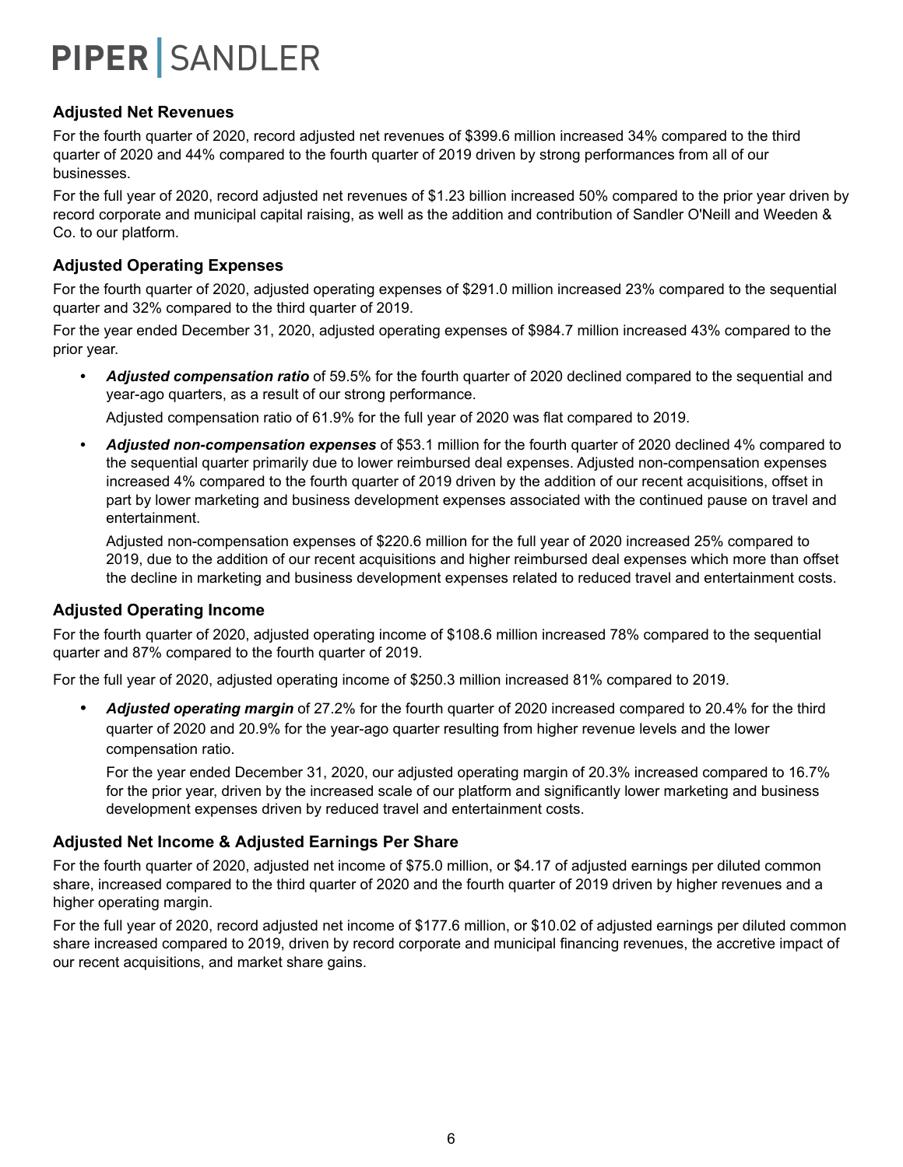#### **Adjusted Net Revenues**

For the fourth quarter of 2020, record adjusted net revenues of \$399.6 million increased 34% compared to the third quarter of 2020 and 44% compared to the fourth quarter of 2019 driven by strong performances from all of our businesses.

For the full year of 2020, record adjusted net revenues of \$1.23 billion increased 50% compared to the prior year driven by record corporate and municipal capital raising, as well as the addition and contribution of Sandler O'Neill and Weeden & Co. to our platform.

#### **Adjusted Operating Expenses**

For the fourth quarter of 2020, adjusted operating expenses of \$291.0 million increased 23% compared to the sequential quarter and 32% compared to the third quarter of 2019.

For the year ended December 31, 2020, adjusted operating expenses of \$984.7 million increased 43% compared to the prior year.

*• Adjusted compensation ratio* of 59.5% for the fourth quarter of 2020 declined compared to the sequential and year-ago quarters, as a result of our strong performance.

Adjusted compensation ratio of 61.9% for the full year of 2020 was flat compared to 2019.

*• Adjusted non-compensation expenses* of \$53.1 million for the fourth quarter of 2020 declined 4% compared to the sequential quarter primarily due to lower reimbursed deal expenses. Adjusted non-compensation expenses increased 4% compared to the fourth quarter of 2019 driven by the addition of our recent acquisitions, offset in part by lower marketing and business development expenses associated with the continued pause on travel and entertainment.

Adjusted non-compensation expenses of \$220.6 million for the full year of 2020 increased 25% compared to 2019, due to the addition of our recent acquisitions and higher reimbursed deal expenses which more than offset the decline in marketing and business development expenses related to reduced travel and entertainment costs.

#### **Adjusted Operating Income**

For the fourth quarter of 2020, adjusted operating income of \$108.6 million increased 78% compared to the sequential quarter and 87% compared to the fourth quarter of 2019.

For the full year of 2020, adjusted operating income of \$250.3 million increased 81% compared to 2019.

*• Adjusted operating margin* of 27.2% for the fourth quarter of 2020 increased compared to 20.4% for the third quarter of 2020 and 20.9% for the year-ago quarter resulting from higher revenue levels and the lower compensation ratio.

For the year ended December 31, 2020, our adjusted operating margin of 20.3% increased compared to 16.7% for the prior year, driven by the increased scale of our platform and significantly lower marketing and business development expenses driven by reduced travel and entertainment costs.

#### **Adjusted Net Income & Adjusted Earnings Per Share**

For the fourth quarter of 2020, adjusted net income of \$75.0 million, or \$4.17 of adjusted earnings per diluted common share, increased compared to the third quarter of 2020 and the fourth quarter of 2019 driven by higher revenues and a higher operating margin.

For the full year of 2020, record adjusted net income of \$177.6 million, or \$10.02 of adjusted earnings per diluted common share increased compared to 2019, driven by record corporate and municipal financing revenues, the accretive impact of our recent acquisitions, and market share gains.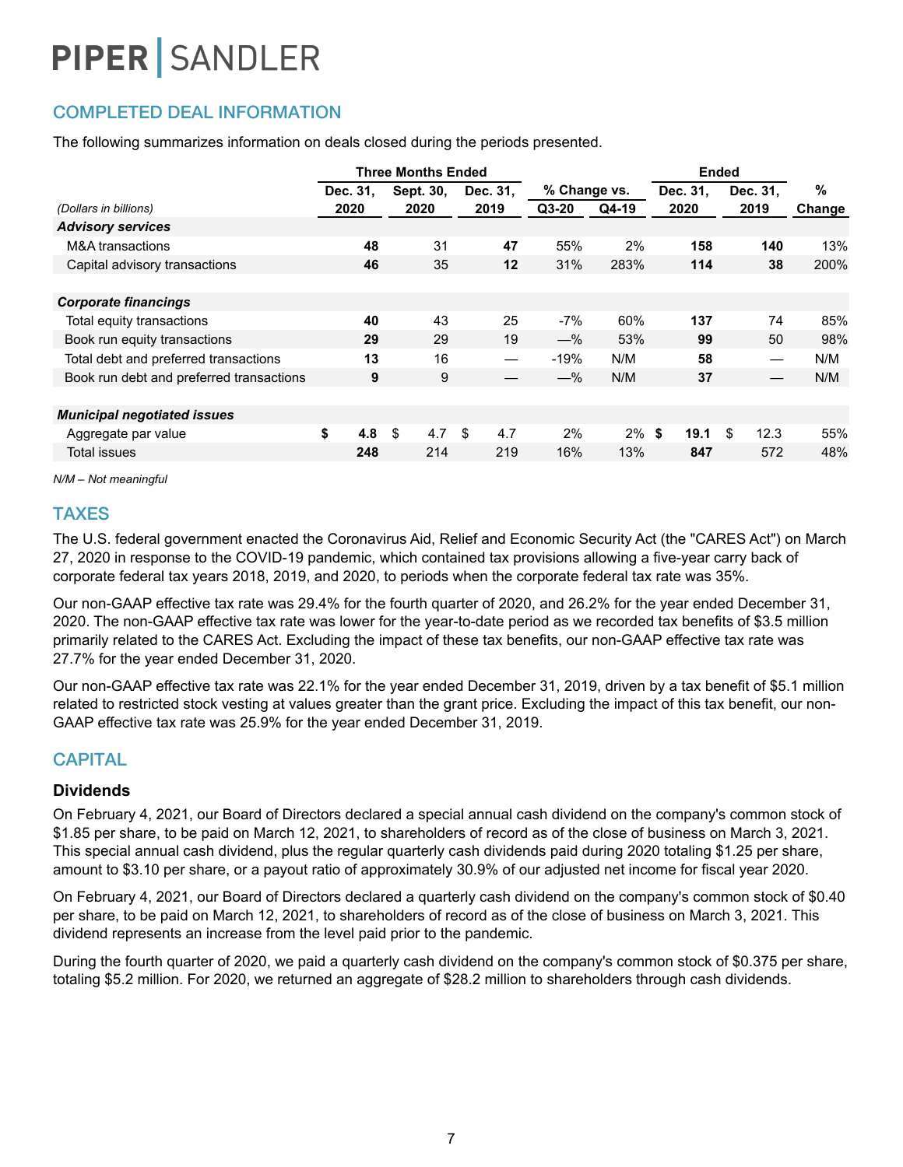## COMPLETED DEAL INFORMATION

The following summarizes information on deals closed during the periods presented.

|                                          |           | <b>Three Months Ended</b> |                   |              |          |          | <b>Ended</b> |        |
|------------------------------------------|-----------|---------------------------|-------------------|--------------|----------|----------|--------------|--------|
|                                          | Dec. 31,  | Sept. 30,                 | Dec. 31.          | % Change vs. |          | Dec. 31, | Dec. 31.     | %      |
| (Dollars in billions)                    | 2020      | 2020                      | 2019              | $Q3-20$      | Q4-19    | 2020     | 2019         | Change |
| <b>Advisory services</b>                 |           |                           |                   |              |          |          |              |        |
| M&A transactions                         | 48        | 31                        | 47                | 55%          | 2%       | 158      | 140          | 13%    |
| Capital advisory transactions            | 46        | 35                        | 12                | 31%          | 283%     | 114      | 38           | 200%   |
|                                          |           |                           |                   |              |          |          |              |        |
| <b>Corporate financings</b>              |           |                           |                   |              |          |          |              |        |
| Total equity transactions                | 40        | 43                        | 25                | $-7%$        | 60%      | 137      | 74           | 85%    |
| Book run equity transactions             | 29        | 29                        | 19                | $-$ %        | 53%      | 99       | 50           | 98%    |
| Total debt and preferred transactions    | 13        | 16                        | $\hspace{0.05cm}$ | $-19%$       | N/M      | 58       |              | N/M    |
| Book run debt and preferred transactions | 9         | 9                         |                   | $-\%$        | N/M      | 37       |              | N/M    |
|                                          |           |                           |                   |              |          |          |              |        |
| <b>Municipal negotiated issues</b>       |           |                           |                   |              |          |          |              |        |
| Aggregate par value                      | \$<br>4.8 | \$<br>4.7                 | 4.7<br>\$.        | 2%           | $2\%$ \$ | 19.1     | \$<br>12.3   | 55%    |
| Total issues                             | 248       | 214                       | 219               | 16%          | 13%      | 847      | 572          | 48%    |
|                                          |           |                           |                   |              |          |          |              |        |

*N/M – Not meaningful*

#### TAXES

The U.S. federal government enacted the Coronavirus Aid, Relief and Economic Security Act (the "CARES Act") on March 27, 2020 in response to the COVID-19 pandemic, which contained tax provisions allowing a five-year carry back of corporate federal tax years 2018, 2019, and 2020, to periods when the corporate federal tax rate was 35%.

Our non-GAAP effective tax rate was 29.4% for the fourth quarter of 2020, and 26.2% for the year ended December 31, 2020. The non-GAAP effective tax rate was lower for the year-to-date period as we recorded tax benefits of \$3.5 million primarily related to the CARES Act. Excluding the impact of these tax benefits, our non-GAAP effective tax rate was 27.7% for the year ended December 31, 2020.

Our non-GAAP effective tax rate was 22.1% for the year ended December 31, 2019, driven by a tax benefit of \$5.1 million related to restricted stock vesting at values greater than the grant price. Excluding the impact of this tax benefit, our non-GAAP effective tax rate was 25.9% for the year ended December 31, 2019.

### **CAPITAL**

#### **Dividends**

On February 4, 2021, our Board of Directors declared a special annual cash dividend on the company's common stock of \$1.85 per share, to be paid on March 12, 2021, to shareholders of record as of the close of business on March 3, 2021. This special annual cash dividend, plus the regular quarterly cash dividends paid during 2020 totaling \$1.25 per share, amount to \$3.10 per share, or a payout ratio of approximately 30.9% of our adjusted net income for fiscal year 2020.

On February 4, 2021, our Board of Directors declared a quarterly cash dividend on the company's common stock of \$0.40 per share, to be paid on March 12, 2021, to shareholders of record as of the close of business on March 3, 2021. This dividend represents an increase from the level paid prior to the pandemic.

During the fourth quarter of 2020, we paid a quarterly cash dividend on the company's common stock of \$0.375 per share, totaling \$5.2 million. For 2020, we returned an aggregate of \$28.2 million to shareholders through cash dividends.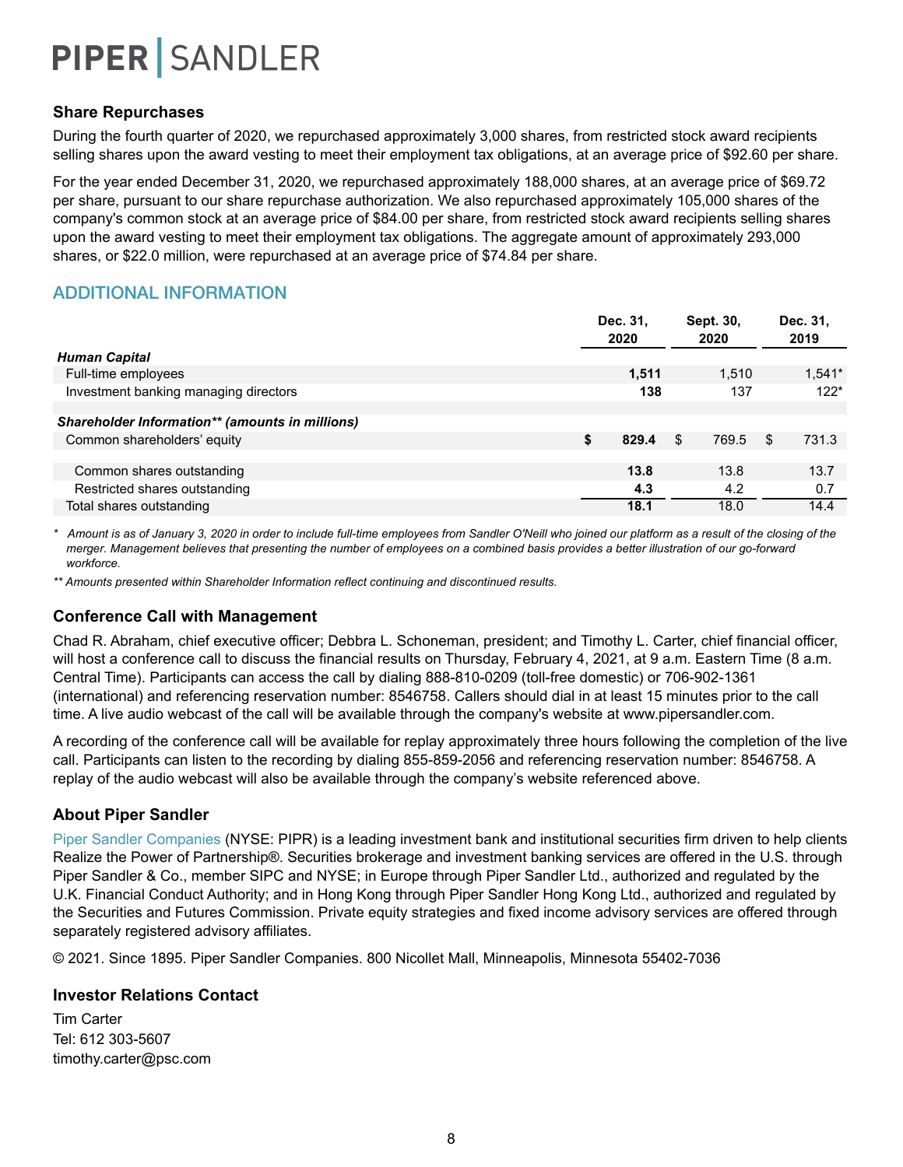#### **Share Repurchases**

During the fourth quarter of 2020, we repurchased approximately 3,000 shares, from restricted stock award recipients selling shares upon the award vesting to meet their employment tax obligations, at an average price of \$92.60 per share.

For the year ended December 31, 2020, we repurchased approximately 188,000 shares, at an average price of \$69.72 per share, pursuant to our share repurchase authorization. We also repurchased approximately 105,000 shares of the company's common stock at an average price of \$84.00 per share, from restricted stock award recipients selling shares upon the award vesting to meet their employment tax obligations. The aggregate amount of approximately 293,000 shares, or \$22.0 million, were repurchased at an average price of \$74.84 per share.

### ADDITIONAL INFORMATION

|                                                 | Dec. 31.<br>2020 | Sept. 30,<br>2020 | Dec. 31,<br>2019 |
|-------------------------------------------------|------------------|-------------------|------------------|
| <b>Human Capital</b>                            |                  |                   |                  |
| Full-time employees                             | 1,511            | 1,510             | $1,541*$         |
| Investment banking managing directors           | 138              | 137               | $122*$           |
|                                                 |                  |                   |                  |
| Shareholder Information** (amounts in millions) |                  |                   |                  |
| Common shareholders' equity                     | \$<br>829.4      | \$.<br>769.5      | 731.3<br>\$.     |
|                                                 |                  |                   |                  |
| Common shares outstanding                       | 13.8             | 13.8              | 13.7             |
| Restricted shares outstanding                   | 4.3              | 4.2               | 0.7              |
| Total shares outstanding                        | 18.1             | 18.0              | 14.4             |

*\* Amount is as of January 3, 2020 in order to include full-time employees from Sandler O'Neill who joined our platform as a result of the closing of the merger. Management believes that presenting the number of employees on a combined basis provides a better illustration of our go-forward workforce.*

*\*\* Amounts presented within Shareholder Information reflect continuing and discontinued results.*

### **Conference Call with Management**

Chad R. Abraham, chief executive officer; Debbra L. Schoneman, president; and Timothy L. Carter, chief financial officer, will host a conference call to discuss the financial results on Thursday, February 4, 2021, at 9 a.m. Eastern Time (8 a.m. Central Time). Participants can access the call by dialing 888-810-0209 (toll-free domestic) or 706-902-1361 (international) and referencing reservation number: 8546758. Callers should dial in at least 15 minutes prior to the call time. A live audio webcast of the call will be available through the company's website at www.pipersandler.com.

A recording of the conference call will be available for replay approximately three hours following the completion of the live call. Participants can listen to the recording by dialing 855-859-2056 and referencing reservation number: 8546758. A replay of the audio webcast will also be available through the company's website referenced above.

#### **About Piper Sandler**

Piper Sandler Companies (NYSE: PIPR) is a leading investment bank and institutional securities firm driven to help clients Realize the Power of Partnership®. Securities brokerage and investment banking services are offered in the U.S. through Piper Sandler & Co., member SIPC and NYSE; in Europe through Piper Sandler Ltd., authorized and regulated by the U.K. Financial Conduct Authority; and in Hong Kong through Piper Sandler Hong Kong Ltd., authorized and regulated by the Securities and Futures Commission. Private equity strategies and fixed income advisory services are offered through separately registered advisory affiliates.

© 2021. Since 1895. Piper Sandler Companies. 800 Nicollet Mall, Minneapolis, Minnesota 55402-7036

#### **Investor Relations Contact**

Tim Carter Tel: 612 303-5607 timothy.carter@psc.com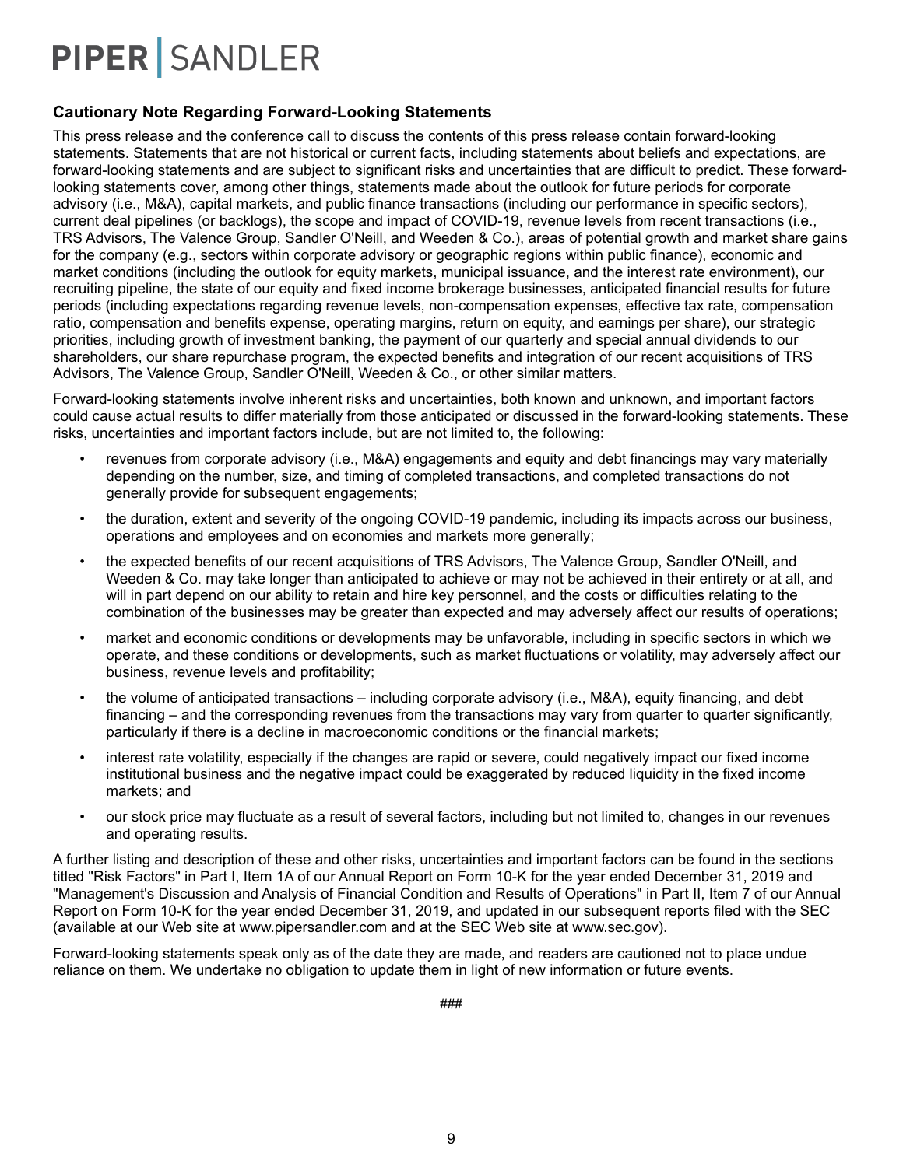#### **Cautionary Note Regarding Forward-Looking Statements**

This press release and the conference call to discuss the contents of this press release contain forward-looking statements. Statements that are not historical or current facts, including statements about beliefs and expectations, are forward-looking statements and are subject to significant risks and uncertainties that are difficult to predict. These forwardlooking statements cover, among other things, statements made about the outlook for future periods for corporate advisory (i.e., M&A), capital markets, and public finance transactions (including our performance in specific sectors), current deal pipelines (or backlogs), the scope and impact of COVID-19, revenue levels from recent transactions (i.e., TRS Advisors, The Valence Group, Sandler O'Neill, and Weeden & Co.), areas of potential growth and market share gains for the company (e.g., sectors within corporate advisory or geographic regions within public finance), economic and market conditions (including the outlook for equity markets, municipal issuance, and the interest rate environment), our recruiting pipeline, the state of our equity and fixed income brokerage businesses, anticipated financial results for future periods (including expectations regarding revenue levels, non-compensation expenses, effective tax rate, compensation ratio, compensation and benefits expense, operating margins, return on equity, and earnings per share), our strategic priorities, including growth of investment banking, the payment of our quarterly and special annual dividends to our shareholders, our share repurchase program, the expected benefits and integration of our recent acquisitions of TRS Advisors, The Valence Group, Sandler O'Neill, Weeden & Co., or other similar matters.

Forward-looking statements involve inherent risks and uncertainties, both known and unknown, and important factors could cause actual results to differ materially from those anticipated or discussed in the forward-looking statements. These risks, uncertainties and important factors include, but are not limited to, the following:

- revenues from corporate advisory (i.e., M&A) engagements and equity and debt financings may vary materially depending on the number, size, and timing of completed transactions, and completed transactions do not generally provide for subsequent engagements;
- the duration, extent and severity of the ongoing COVID-19 pandemic, including its impacts across our business, operations and employees and on economies and markets more generally;
- the expected benefits of our recent acquisitions of TRS Advisors, The Valence Group, Sandler O'Neill, and Weeden & Co. may take longer than anticipated to achieve or may not be achieved in their entirety or at all, and will in part depend on our ability to retain and hire key personnel, and the costs or difficulties relating to the combination of the businesses may be greater than expected and may adversely affect our results of operations;
- market and economic conditions or developments may be unfavorable, including in specific sectors in which we operate, and these conditions or developments, such as market fluctuations or volatility, may adversely affect our business, revenue levels and profitability;
- the volume of anticipated transactions including corporate advisory (i.e., M&A), equity financing, and debt financing – and the corresponding revenues from the transactions may vary from quarter to quarter significantly, particularly if there is a decline in macroeconomic conditions or the financial markets;
- interest rate volatility, especially if the changes are rapid or severe, could negatively impact our fixed income institutional business and the negative impact could be exaggerated by reduced liquidity in the fixed income markets; and
- our stock price may fluctuate as a result of several factors, including but not limited to, changes in our revenues and operating results.

A further listing and description of these and other risks, uncertainties and important factors can be found in the sections titled "Risk Factors" in Part I, Item 1A of our Annual Report on Form 10-K for the year ended December 31, 2019 and "Management's Discussion and Analysis of Financial Condition and Results of Operations" in Part II, Item 7 of our Annual Report on Form 10-K for the year ended December 31, 2019, and updated in our subsequent reports filed with the SEC (available at our Web site at www.pipersandler.com and at the SEC Web site at www.sec.gov).

Forward-looking statements speak only as of the date they are made, and readers are cautioned not to place undue reliance on them. We undertake no obligation to update them in light of new information or future events.

###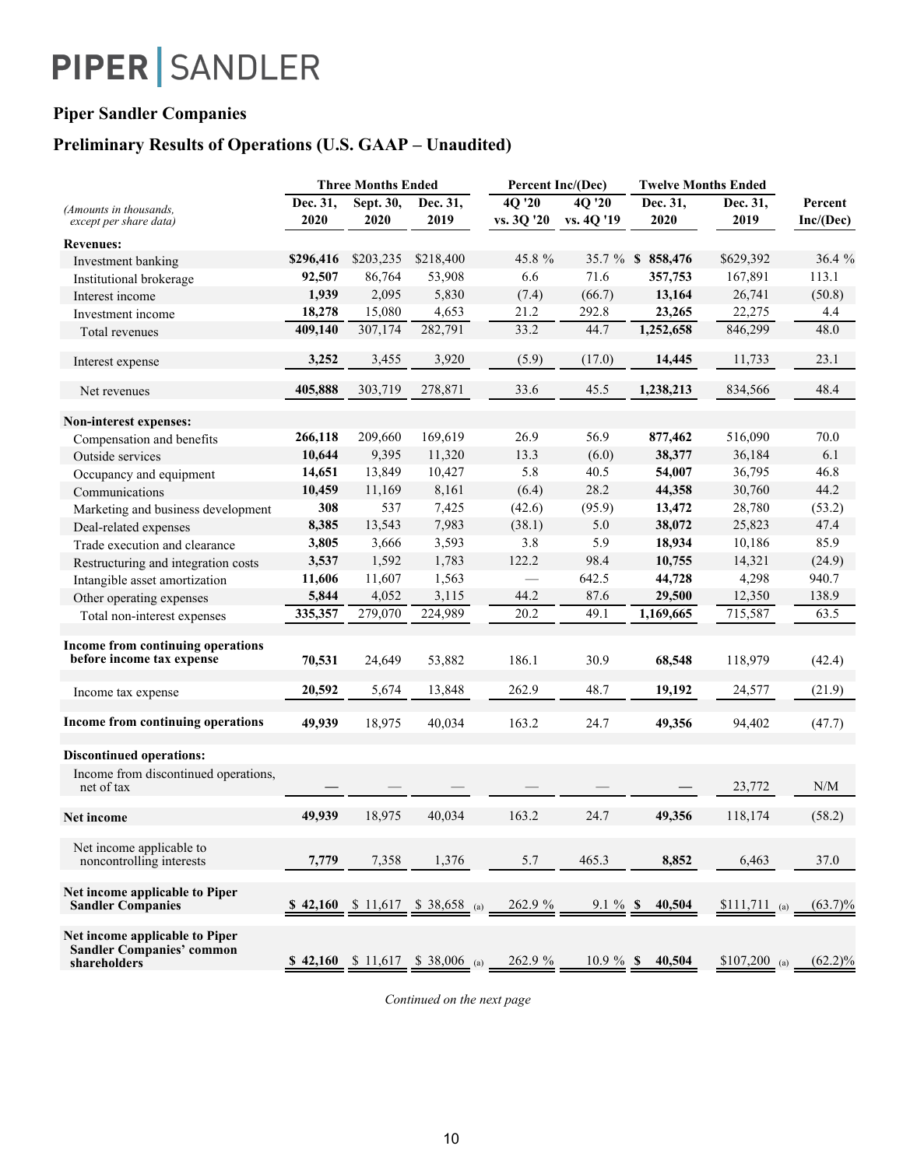### **Piper Sandler Companies**

### **Preliminary Results of Operations (U.S. GAAP – Unaudited)**

|                                                                                    |           | <b>Three Months Ended</b> |                                          | Percent Inc/(Dec)                |            | <b>Twelve Months Ended</b> |                |            |
|------------------------------------------------------------------------------------|-----------|---------------------------|------------------------------------------|----------------------------------|------------|----------------------------|----------------|------------|
| (Amounts in thousands,                                                             | Dec. 31,  | Sept. 30,                 | Dec. $3\overline{1,}$                    | $4Q$ <sup><math>720</math></sup> | 4Q '20     | Dec. 31,                   | Dec. 31,       | Percent    |
| except per share data)                                                             | 2020      | 2020                      | 2019                                     | vs. 3Q '20                       | vs. 4Q '19 | 2020                       | 2019           | Inc/(Dec)  |
| <b>Revenues:</b>                                                                   |           |                           |                                          |                                  |            |                            |                |            |
| Investment banking                                                                 | \$296,416 | \$203,235                 | \$218,400                                | 45.8 %                           |            | 35.7 % \$ 858,476          | \$629,392      | 36.4 %     |
| Institutional brokerage                                                            | 92,507    | 86,764                    | 53,908                                   | 6.6                              | 71.6       | 357,753                    | 167,891        | 113.1      |
| Interest income                                                                    | 1,939     | 2,095                     | 5,830                                    | (7.4)                            | (66.7)     | 13,164                     | 26,741         | (50.8)     |
| Investment income                                                                  | 18,278    | 15,080                    | 4,653                                    | 21.2                             | 292.8      | 23,265                     | 22,275         | 4.4        |
| Total revenues                                                                     | 409,140   | 307,174                   | 282,791                                  | 33.2                             | 44.7       | 1,252,658                  | 846,299        | 48.0       |
| Interest expense                                                                   | 3,252     | 3,455                     | 3,920                                    | (5.9)                            | (17.0)     | 14,445                     | 11,733         | 23.1       |
| Net revenues                                                                       | 405,888   | 303,719                   | 278,871                                  | 33.6                             | 45.5       | 1,238,213                  | 834,566        | 48.4       |
| Non-interest expenses:                                                             |           |                           |                                          |                                  |            |                            |                |            |
| Compensation and benefits                                                          | 266,118   | 209,660                   | 169,619                                  | 26.9                             | 56.9       | 877,462                    | 516,090        | 70.0       |
| Outside services                                                                   | 10,644    | 9,395                     | 11,320                                   | 13.3                             | (6.0)      | 38,377                     | 36,184         | 6.1        |
| Occupancy and equipment                                                            | 14,651    | 13,849                    | 10,427                                   | 5.8                              | 40.5       | 54,007                     | 36,795         | 46.8       |
| Communications                                                                     | 10,459    | 11,169                    | 8,161                                    | (6.4)                            | 28.2       | 44,358                     | 30,760         | 44.2       |
| Marketing and business development                                                 | 308       | 537                       | 7,425                                    | (42.6)                           | (95.9)     | 13,472                     | 28,780         | (53.2)     |
| Deal-related expenses                                                              | 8,385     | 13,543                    | 7,983                                    | (38.1)                           | 5.0        | 38,072                     | 25,823         | 47.4       |
| Trade execution and clearance                                                      | 3,805     | 3,666                     | 3,593                                    | 3.8                              | 5.9        | 18,934                     | 10,186         | 85.9       |
| Restructuring and integration costs                                                | 3,537     | 1,592                     | 1,783                                    | 122.2                            | 98.4       | 10,755                     | 14,321         | (24.9)     |
| Intangible asset amortization                                                      | 11,606    | 11,607                    | 1,563                                    | $\overline{\phantom{0}}$         | 642.5      | 44,728                     | 4,298          | 940.7      |
| Other operating expenses                                                           | 5,844     | 4,052                     | 3,115                                    | 44.2                             | 87.6       | 29,500                     | 12,350         | 138.9      |
| Total non-interest expenses                                                        | 335,357   | 279,070                   | 224,989                                  | 20.2                             | 49.1       | 1,169,665                  | 715,587        | 63.5       |
| Income from continuing operations<br>before income tax expense                     | 70,531    | 24,649                    | 53,882                                   | 186.1                            | 30.9       | 68,548                     | 118,979        | (42.4)     |
| Income tax expense                                                                 | 20,592    | 5,674                     | 13,848                                   | 262.9                            | 48.7       | 19,192                     | 24,577         | (21.9)     |
| Income from continuing operations                                                  | 49,939    | 18,975                    | 40,034                                   | 163.2                            | 24.7       | 49,356                     | 94,402         | (47.7)     |
| <b>Discontinued operations:</b>                                                    |           |                           |                                          |                                  |            |                            |                |            |
| Income from discontinued operations,<br>net of tax                                 |           |                           |                                          |                                  |            |                            | 23,772         | N/M        |
| Net income                                                                         | 49.939    | 18,975                    | 40,034                                   | 163.2                            | 24.7       | 49,356                     | 118,174        | (58.2)     |
| Net income applicable to<br>noncontrolling interests                               | 7,779     | 7,358                     | 1,376                                    | 5.7                              | 465.3      | 8,852                      | 6,463          | 37.0       |
| Net income applicable to Piper<br><b>Sandler Companies</b>                         |           |                           | \$ 42,160 \$ 11,617 \$ 38,658 (a)        | 262.9 %                          | $9.1\%$ \$ | 40,504                     | $$111,711$ (a) | $(63.7)\%$ |
| Net income applicable to Piper<br><b>Sandler Companies' common</b><br>shareholders |           |                           | <b>\$</b> 42,160 \$ 11,617 \$ 38,006 (a) | 262.9 %                          |            | $10.9\%$ \$ 40,504         | $$107,200$ (a) | $(62.2)\%$ |

*Continued on the next page*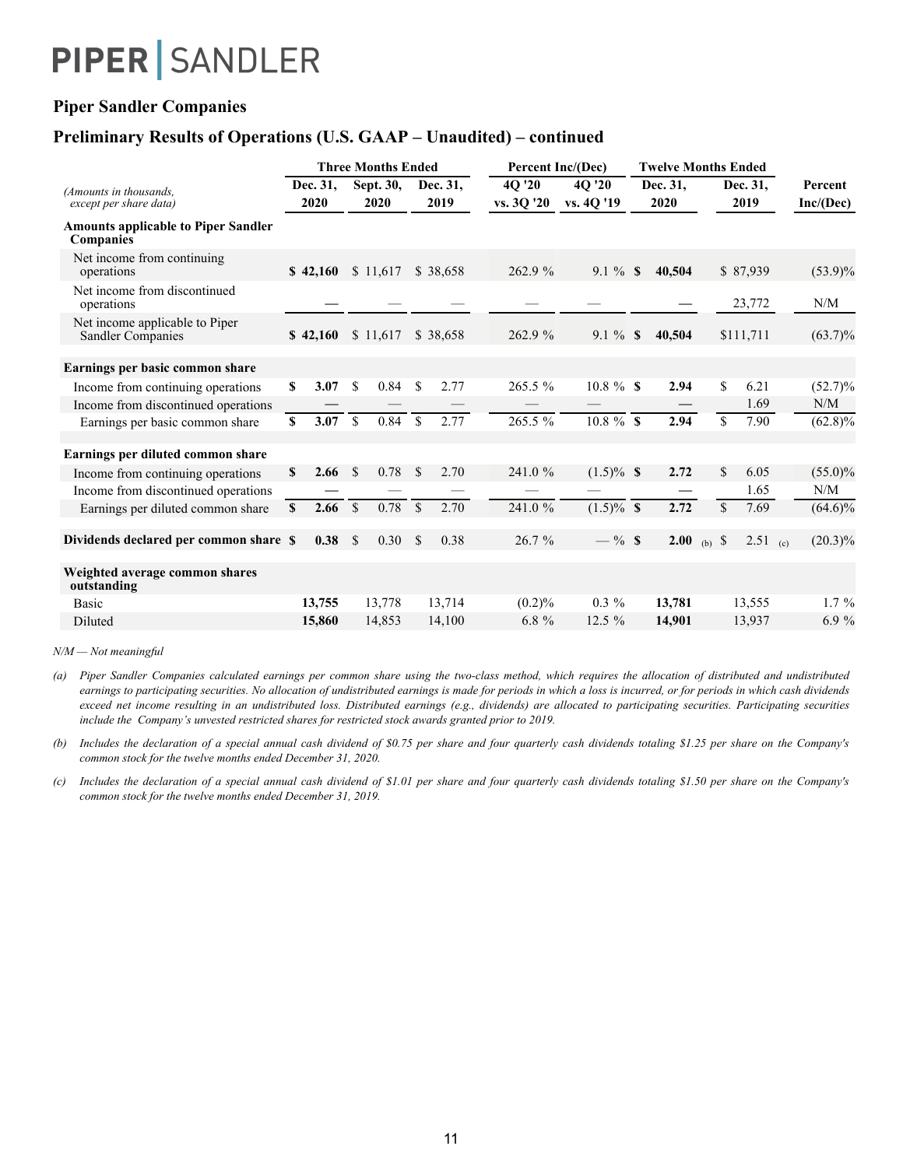### **Piper Sandler Companies**

### **Preliminary Results of Operations (U.S. GAAP – Unaudited) – continued**

|                                                                |              |                  |               | <b>Three Months Ended</b> |               |                  |                      | Percent Inc/(Dec)    |               | <b>Twelve Months Ended</b> |                   |                  |            |  |                      |  |  |
|----------------------------------------------------------------|--------------|------------------|---------------|---------------------------|---------------|------------------|----------------------|----------------------|---------------|----------------------------|-------------------|------------------|------------|--|----------------------|--|--|
| (Amounts in thousands,<br>except per share data)               |              | Dec. 31,<br>2020 |               | Sept. 30,<br>2020         |               | Dec. 31.<br>2019 | 4Q '20<br>vs. 3Q '20 | 40 '20<br>vs. 4Q '19 |               | Dec. 31,<br>2020           |                   | Dec. 31.<br>2019 |            |  | Percent<br>Inc/(Dec) |  |  |
| <b>Amounts applicable to Piper Sandler</b><br><b>Companies</b> |              |                  |               |                           |               |                  |                      |                      |               |                            |                   |                  |            |  |                      |  |  |
| Net income from continuing<br>operations                       |              | \$42,160         |               | \$11,617                  |               | \$38,658         | 262.9 %              | $9.1 \%$ \$          |               | 40,504                     |                   |                  | \$87,939   |  | $(53.9)\%$           |  |  |
| Net income from discontinued<br>operations                     |              |                  |               |                           |               |                  |                      |                      |               |                            |                   |                  | 23,772     |  | N/M                  |  |  |
| Net income applicable to Piper<br>Sandler Companies            |              | \$42,160         |               | \$11,617                  |               | \$38,658         | 262.9 %              | $9.1\%$              | <sup>\$</sup> | 40,504                     |                   |                  | \$111,711  |  | $(63.7)\%$           |  |  |
| Earnings per basic common share                                |              |                  |               |                           |               |                  |                      |                      |               |                            |                   |                  |            |  |                      |  |  |
| Income from continuing operations                              | S            | 3.07             | <sup>\$</sup> | 0.84                      | <sup>\$</sup> | 2.77             | 265.5 %              | $10.8 \%$ \$         |               | 2.94                       |                   | \$               | 6.21       |  | $(52.7)\%$           |  |  |
| Income from discontinued operations                            |              |                  |               |                           |               |                  |                      |                      |               |                            |                   |                  | 1.69       |  | N/M                  |  |  |
| Earnings per basic common share                                | $\mathbf S$  | 3.07             | $\mathbf S$   | 0.84                      | $\mathcal{S}$ | 2.77             | $265.5\%$            | $10.8 \%$ \$         |               | 2.94                       |                   | $\overline{\$}$  | 7.90       |  | $(62.8)\%$           |  |  |
| Earnings per diluted common share                              |              |                  |               |                           |               |                  |                      |                      |               |                            |                   |                  |            |  |                      |  |  |
| Income from continuing operations                              | S            | 2.66             | $\mathcal{S}$ | 0.78                      | -S            | 2.70             | 241.0 %              | $(1.5)\%$ \$         |               | 2.72                       |                   | \$               | 6.05       |  | $(55.0)\%$           |  |  |
| Income from discontinued operations                            |              |                  |               |                           |               |                  |                      |                      |               |                            |                   |                  | 1.65       |  | N/M                  |  |  |
| Earnings per diluted common share                              | $\mathbf{s}$ | 2.66             | $\mathbb{S}$  | 0.78                      | $\mathcal{S}$ | 2.70             | 241.0 %              | $(1.5)\%$ \$         |               | 2.72                       |                   | \$               | 7.69       |  | $(64.6)\%$           |  |  |
| Dividends declared per common share \$                         |              | 0.38             | $\mathcal{S}$ | 0.30                      | -S            | 0.38             | 26.7 %               | $-$ % \$             |               | 2.00                       | (b) $\sqrt[6]{s}$ |                  | $2.51$ (c) |  | $(20.3)\%$           |  |  |
| Weighted average common shares<br>outstanding                  |              |                  |               |                           |               |                  |                      |                      |               |                            |                   |                  |            |  |                      |  |  |
| Basic                                                          |              | 13,755           |               | 13,778                    |               | 13,714           | (0.2)%               | $0.3 \%$             |               | 13,781                     |                   |                  | 13,555     |  | $1.7\%$              |  |  |
| <b>Diluted</b>                                                 |              | 15,860           |               | 14,853                    |               | 14,100           | $6.8 \%$             | 12.5 %               |               | 14,901                     |                   |                  | 13,937     |  | 6.9%                 |  |  |

#### *N/M — Not meaningful*

*(a)* Piper Sandler Companies calculated earnings per common share using the two-class method, which requires the allocation of distributed and undistributed earnings to participating securities. No allocation of undistributed earnings is made for periods in which a loss is incurred, or for periods in which cash dividends exceed net income resulting in an undistributed loss. Distributed earnings (e.g., dividends) are allocated to participating securities. Participating securities *include the Company's unvested restricted shares for restricted stock awards granted prior to 2019.*

*(b) Includes the declaration of a special annual cash dividend of \$0.75 per share and four quarterly cash dividends totaling \$1.25 per share on the Company's common stock for the twelve months ended December 31, 2020.*

*(c) Includes the declaration of a special annual cash dividend of \$1.01 per share and four quarterly cash dividends totaling \$1.50 per share on the Company's common stock for the twelve months ended December 31, 2019.*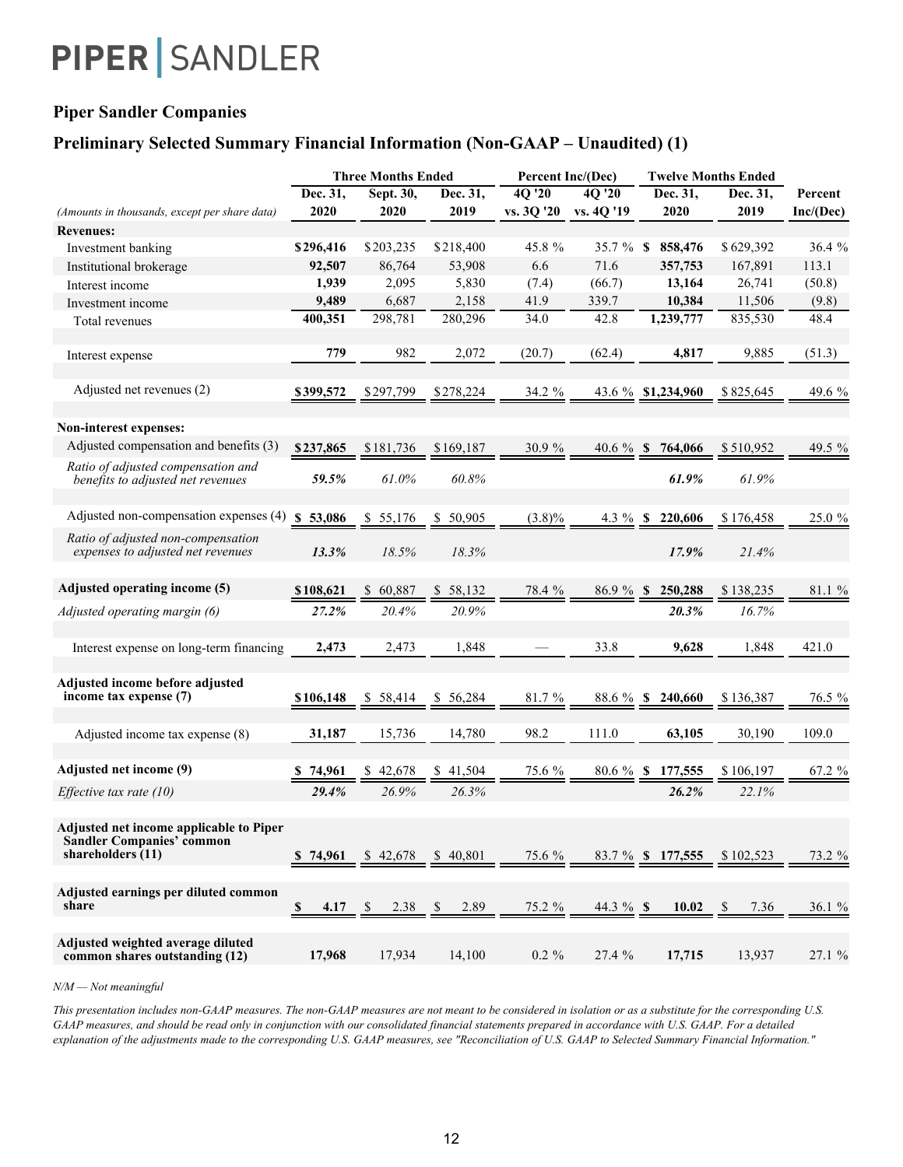### **Piper Sandler Companies**

### **Preliminary Selected Summary Financial Information (Non-GAAP – Unaudited) (1)**

|                                                                                                    |                                 | <b>Three Months Ended</b> |                         | Percent Inc/(Dec) |              |                            | <b>Twelve Months Ended</b> |           |
|----------------------------------------------------------------------------------------------------|---------------------------------|---------------------------|-------------------------|-------------------|--------------|----------------------------|----------------------------|-----------|
|                                                                                                    | Dec. 31,                        | Sept. 30,                 | Dec. 31,                | 4Q '20            | 4Q '20       | Dec. 31,                   | Dec. 31,                   | Percent   |
| (Amounts in thousands, except per share data)                                                      | 2020                            | 2020                      | 2019                    | vs. 3Q '20        | vs. 4Q '19   | 2020                       | 2019                       | Inc/(Dec) |
| <b>Revenues:</b>                                                                                   |                                 |                           |                         |                   |              |                            |                            |           |
| Investment banking                                                                                 | \$296,416                       | \$203,235                 | \$218,400               | 45.8 %            | $35.7 \%$ \$ | 858,476                    | \$629,392                  | 36.4%     |
| Institutional brokerage                                                                            | 92,507                          | 86,764                    | 53,908                  | 6.6               | 71.6         | 357,753                    | 167,891                    | 113.1     |
| Interest income                                                                                    | 1,939                           | 2,095                     | 5,830                   | (7.4)             | (66.7)       | 13,164                     | 26,741                     | (50.8)    |
| Investment income                                                                                  | 9,489                           | 6,687                     | 2,158                   | 41.9              | 339.7        | 10,384                     | 11,506                     | (9.8)     |
| Total revenues                                                                                     | 400,351                         | 298,781                   | 280,296                 | 34.0              | 42.8         | 1,239,777                  | 835,530                    | 48.4      |
| Interest expense                                                                                   | 779                             | 982                       | 2,072                   | (20.7)            | (62.4)       | 4,817                      | 9,885                      | (51.3)    |
| Adjusted net revenues (2)                                                                          | \$399,572                       | \$297,799                 | \$278,224               | 34.2 %            |              | 43.6 % \$1,234,960         | \$825,645                  | 49.6 %    |
| Non-interest expenses:                                                                             |                                 |                           |                         |                   |              |                            |                            |           |
| Adjusted compensation and benefits (3)                                                             | \$237,865                       | \$181,736                 | \$169,187               | 30.9%             | 40.6 $%$ \$  | 764,066                    | \$510,952                  | 49.5 %    |
| Ratio of adjusted compensation and<br>benefits to adjusted net revenues                            | 59.5%                           | 61.0%                     | 60.8%                   |                   |              | 61.9%                      | 61.9%                      |           |
| Adjusted non-compensation expenses (4)                                                             | \$53,086                        | \$55,176                  | \$ 50,905               | $(3.8)\%$         |              | 4.3 % \$ 220,606           | \$176,458                  | 25.0 %    |
| Ratio of adjusted non-compensation<br>expenses to adjusted net revenues                            | 13.3%                           | 18.5%                     | 18.3%                   |                   |              | 17.9%                      | 21.4%                      |           |
| Adjusted operating income (5)                                                                      | \$108,621                       | 60,887<br>\$              | 58,132<br><sup>\$</sup> | 78.4 %            | $86.9 \%$ \$ | 250,288                    | \$138,235                  | 81.1 %    |
| Adjusted operating margin (6)                                                                      | 27.2%                           | 20.4%                     | 20.9%                   |                   |              | 20.3%                      | 16.7%                      |           |
| Interest expense on long-term financing                                                            | 2,473                           | 2,473                     | 1,848                   |                   | 33.8         | 9,628                      | 1,848                      | 421.0     |
| Adjusted income before adjusted<br>income tax expense (7)                                          | \$106,148                       | \$ 58,414                 | \$56,284                | 81.7 %            | 88.6 %       | 240,660<br>-SI             | \$136,387                  | 76.5 %    |
| Adjusted income tax expense (8)                                                                    | 31,187                          | 15,736                    | 14,780                  | 98.2              | 111.0        | 63,105                     | 30,190                     | 109.0     |
| Adjusted net income (9)                                                                            | \$74,961                        | 42,678<br>S.              | 41,504                  | 75.6 %            | $80.6 \%$ \$ | 177,555                    | \$106,197                  | 67.2 %    |
| Effective tax rate $(10)$                                                                          | 29.4%                           | 26.9%                     | 26.3%                   |                   |              | 26.2%                      | 22.1%                      |           |
| Adjusted net income applicable to Piper<br><b>Sandler Companies' common</b><br>shareholders $(11)$ | \$74,961                        | \$42,678                  | \$40,801                | 75.6 %            |              | 83.7 % \$177,555 \$102,523 |                            | 73.2 %    |
| Adjusted earnings per diluted common<br>share                                                      | $\overline{\mathbf{r}}$<br>4.17 | 2.38<br>\$                | 2.89<br>- \$            | 75.2 %            | $44.3 \%$ \$ | 10.02                      | 7.36<br>-S                 | 36.1 $%$  |
| Adjusted weighted average diluted<br>common shares outstanding (12)                                | 17,968                          | 17,934                    | 14,100                  | $0.2 \%$          | 27.4 %       | 17,715                     | 13,937                     | 27.1 %    |

*N/M — Not meaningful*

*This presentation includes non-GAAP measures. The non-GAAP measures are not meant to be considered in isolation or as a substitute for the corresponding U.S. GAAP measures, and should be read only in conjunction with our consolidated financial statements prepared in accordance with U.S. GAAP. For a detailed explanation of the adjustments made to the corresponding U.S. GAAP measures, see "Reconciliation of U.S. GAAP to Selected Summary Financial Information."*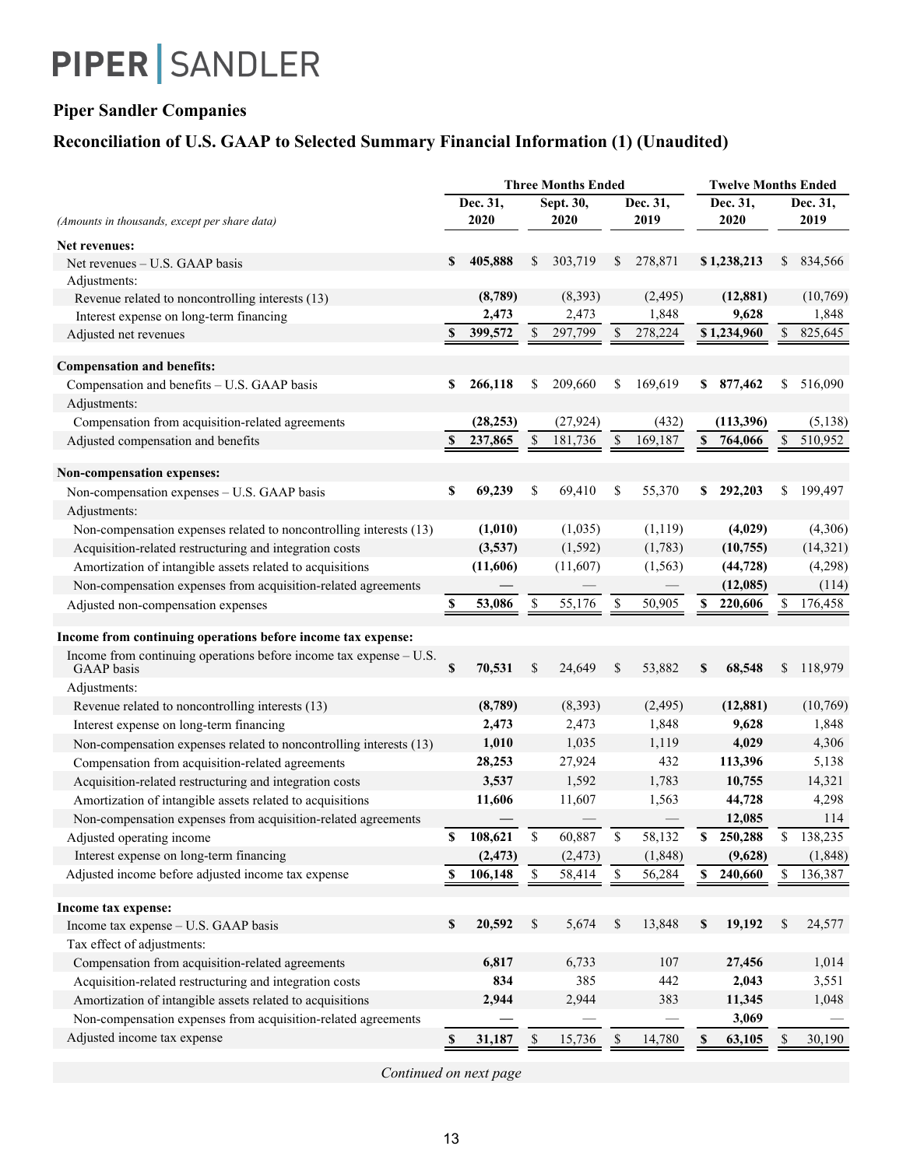### **Piper Sandler Companies**

## **Reconciliation of U.S. GAAP to Selected Summary Financial Information (1) (Unaudited)**

|                                                                                  |    |           | <b>Three Months Ended</b>  | <b>Twelve Months Ended</b> |               |          |                           |             |              |           |  |
|----------------------------------------------------------------------------------|----|-----------|----------------------------|----------------------------|---------------|----------|---------------------------|-------------|--------------|-----------|--|
|                                                                                  |    | Dec. 31,  |                            | Sept. 30,                  |               | Dec. 31, |                           | Dec. 31,    | Dec. 31,     |           |  |
| (Amounts in thousands, except per share data)                                    |    | 2020      |                            | 2020                       |               | 2019     |                           | 2020        |              | 2019      |  |
| Net revenues:                                                                    |    |           |                            |                            |               |          |                           |             |              |           |  |
| Net revenues - U.S. GAAP basis                                                   | \$ | 405,888   | \$                         | 303,719                    | S.            | 278,871  |                           | \$1,238,213 | S.           | 834,566   |  |
| Adjustments:                                                                     |    |           |                            |                            |               |          |                           |             |              |           |  |
| Revenue related to noncontrolling interests (13)                                 |    | (8,789)   |                            | (8, 393)                   |               | (2, 495) |                           | (12, 881)   |              | (10,769)  |  |
| Interest expense on long-term financing                                          |    | 2,473     |                            | 2,473                      |               | 1,848    |                           | 9,628       |              | 1,848     |  |
| Adjusted net revenues                                                            | \$ | 399,572   | \$                         | 297,799                    | S             | 278,224  |                           | \$1,234,960 | \$           | 825,645   |  |
| <b>Compensation and benefits:</b>                                                |    |           |                            |                            |               |          |                           |             |              |           |  |
| Compensation and benefits - U.S. GAAP basis                                      | \$ | 266,118   | \$                         | 209,660                    | \$            | 169,619  | S.                        | 877,462     | \$           | 516,090   |  |
| Adjustments:                                                                     |    |           |                            |                            |               |          |                           |             |              |           |  |
| Compensation from acquisition-related agreements                                 |    | (28, 253) |                            | (27, 924)                  |               | (432)    |                           | (113,396)   |              | (5, 138)  |  |
| Adjusted compensation and benefits                                               | \$ | 237,865   | \$                         | 181,736                    | <sup>\$</sup> | 169,187  | $\boldsymbol{\mathsf{s}}$ | 764,066     | \$           | 510,952   |  |
|                                                                                  |    |           |                            |                            |               |          |                           |             |              |           |  |
| Non-compensation expenses:                                                       |    |           |                            |                            |               |          |                           |             |              |           |  |
| Non-compensation expenses - U.S. GAAP basis                                      | \$ | 69,239    | \$                         | 69,410                     | \$            | 55,370   | \$                        | 292,203     | \$           | 199,497   |  |
| Adjustments:                                                                     |    |           |                            |                            |               |          |                           |             |              |           |  |
| Non-compensation expenses related to noncontrolling interests (13)               |    | (1,010)   |                            | (1,035)                    |               | (1, 119) |                           | (4,029)     |              | (4,306)   |  |
| Acquisition-related restructuring and integration costs                          |    | (3,537)   |                            | (1, 592)                   |               | (1,783)  |                           | (10, 755)   |              | (14, 321) |  |
| Amortization of intangible assets related to acquisitions                        |    | (11,606)  |                            | (11,607)                   |               | (1, 563) |                           | (44, 728)   |              | (4,298)   |  |
| Non-compensation expenses from acquisition-related agreements                    |    |           |                            |                            |               |          |                           | (12,085)    |              | (114)     |  |
| Adjusted non-compensation expenses                                               |    | 53,086    | \$                         | 55,176                     | \$            | 50,905   | \$                        | 220,606     | S            | 176,458   |  |
|                                                                                  |    |           |                            |                            |               |          |                           |             |              |           |  |
| Income from continuing operations before income tax expense:                     |    |           |                            |                            |               |          |                           |             |              |           |  |
| Income from continuing operations before income tax expense - U.S.<br>GAAP basis | \$ | 70,531    | \$                         | 24,649                     | \$            | 53,882   | \$                        | 68,548      | \$           | 118,979   |  |
| Adjustments:                                                                     |    |           |                            |                            |               |          |                           |             |              |           |  |
| Revenue related to noncontrolling interests (13)                                 |    | (8,789)   |                            | (8, 393)                   |               | (2, 495) |                           | (12, 881)   |              | (10,769)  |  |
| Interest expense on long-term financing                                          |    | 2,473     |                            | 2,473                      |               | 1,848    |                           | 9,628       |              | 1,848     |  |
| Non-compensation expenses related to noncontrolling interests (13)               |    | 1,010     |                            | 1,035                      |               | 1,119    |                           | 4,029       |              | 4,306     |  |
| Compensation from acquisition-related agreements                                 |    | 28,253    |                            | 27,924                     |               | 432      |                           | 113,396     |              | 5,138     |  |
| Acquisition-related restructuring and integration costs                          |    | 3,537     |                            | 1,592                      |               | 1,783    |                           | 10,755      |              | 14,321    |  |
| Amortization of intangible assets related to acquisitions                        |    | 11,606    |                            | 11,607                     |               | 1,563    |                           | 44,728      |              | 4,298     |  |
| Non-compensation expenses from acquisition-related agreements                    |    |           |                            |                            |               |          |                           | 12,085      |              | 114       |  |
| Adjusted operating income                                                        | \$ | 108,621   | \$                         | 60,887                     | S             | 58,132   | S                         | 250,288     | \$           | 138,235   |  |
| Interest expense on long-term financing                                          |    | (2, 473)  |                            | (2, 473)                   |               | (1,848)  |                           | (9,628)     |              | (1, 848)  |  |
| Adjusted income before adjusted income tax expense                               | S  | 106,148   | \$                         | 58,414                     | \$            | 56,284   | \$                        | 240,660     | $\mathbb{S}$ | 136,387   |  |
| Income tax expense:                                                              |    |           |                            |                            |               |          |                           |             |              |           |  |
| Income tax expense - U.S. GAAP basis                                             | \$ | 20,592    | \$                         | 5,674                      | \$            | 13,848   | \$                        | 19,192      | \$           | 24,577    |  |
| Tax effect of adjustments:                                                       |    |           |                            |                            |               |          |                           |             |              |           |  |
| Compensation from acquisition-related agreements                                 |    | 6,817     |                            | 6,733                      |               | 107      |                           | 27,456      |              | 1,014     |  |
| Acquisition-related restructuring and integration costs                          |    | 834       |                            | 385                        |               | 442      |                           | 2,043       |              | 3,551     |  |
| Amortization of intangible assets related to acquisitions                        |    | 2,944     |                            | 2,944                      |               | 383      |                           | 11,345      |              | 1,048     |  |
| Non-compensation expenses from acquisition-related agreements                    |    |           |                            |                            |               |          |                           | 3,069       |              |           |  |
| Adjusted income tax expense                                                      |    |           |                            |                            |               |          |                           |             |              |           |  |
|                                                                                  |    | 31,187    | $\boldsymbol{\mathcal{S}}$ | 15,736                     |               | 14,780   |                           | 63,105      |              | 30,190    |  |

*Continued on next page*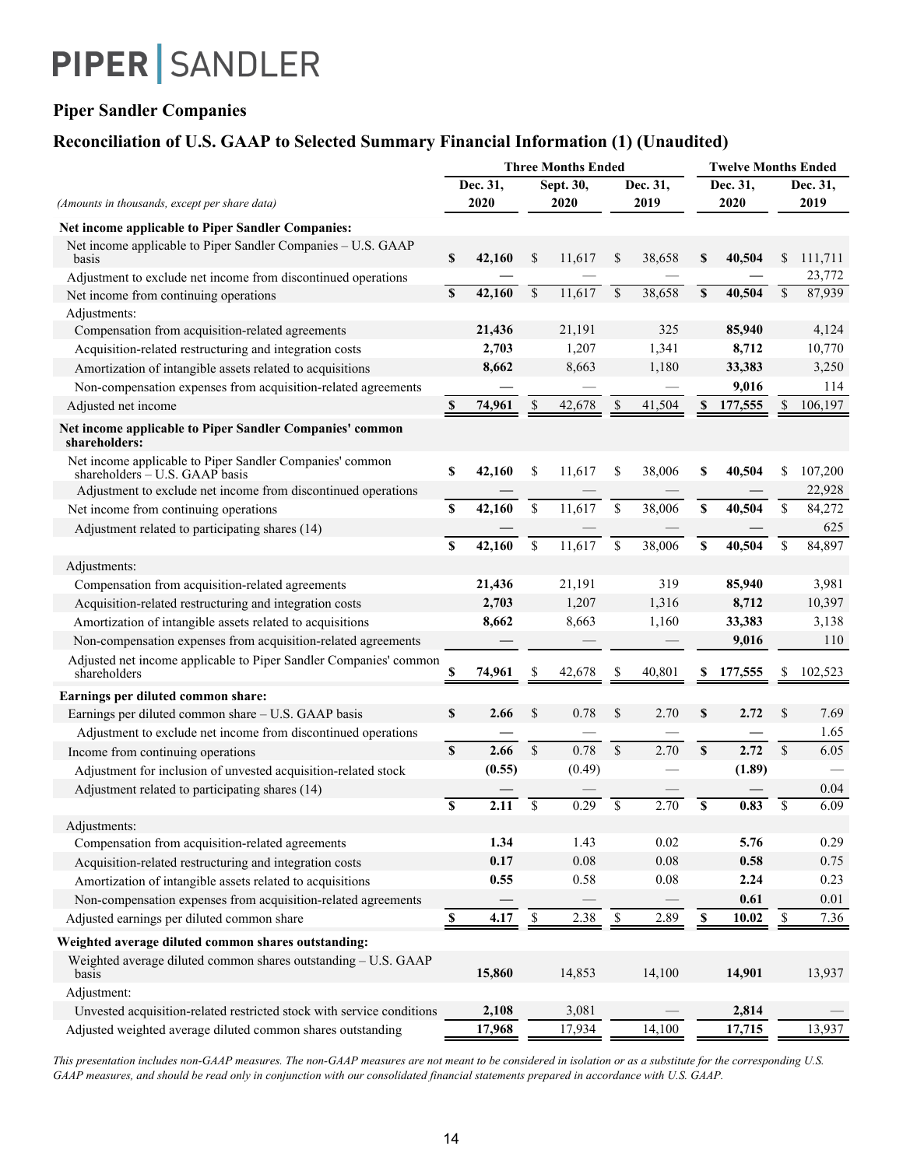### **Piper Sandler Companies**

### **Reconciliation of U.S. GAAP to Selected Summary Financial Information (1) (Unaudited)**

|                                                                                              |              |                          |                           | <b>Three Months Ended</b> |             |                          |             |         | <b>Twelve Months Ended</b> |         |  |
|----------------------------------------------------------------------------------------------|--------------|--------------------------|---------------------------|---------------------------|-------------|--------------------------|-------------|---------|----------------------------|---------|--|
|                                                                                              |              | Dec. 31,                 |                           | Sept. 30,                 |             | Dec. 31,                 | Dec. 31,    |         | Dec. 31,                   |         |  |
| (Amounts in thousands, except per share data)                                                |              | 2020                     |                           | 2020                      |             | 2019                     |             | 2020    |                            | 2019    |  |
| Net income applicable to Piper Sandler Companies:                                            |              |                          |                           |                           |             |                          |             |         |                            |         |  |
| Net income applicable to Piper Sandler Companies - U.S. GAAP<br>basis                        | \$           | 42,160                   | \$                        | 11,617                    | \$          | 38,658                   | \$          | 40,504  | \$                         | 111,711 |  |
| Adjustment to exclude net income from discontinued operations                                |              |                          |                           |                           |             |                          |             |         |                            | 23,772  |  |
| Net income from continuing operations                                                        | S            | 42,160                   | $\mathbf S$               | 11,617                    | $\mathbf S$ | 38,658                   | S           | 40,504  | \$                         | 87,939  |  |
| Adjustments:                                                                                 |              |                          |                           |                           |             |                          |             |         |                            |         |  |
| Compensation from acquisition-related agreements                                             |              | 21,436                   |                           | 21,191                    |             | 325                      |             | 85,940  |                            | 4,124   |  |
| Acquisition-related restructuring and integration costs                                      |              | 2,703                    |                           | 1,207                     |             | 1,341                    |             | 8,712   |                            | 10,770  |  |
| Amortization of intangible assets related to acquisitions                                    |              | 8,662                    |                           | 8,663                     |             | 1,180                    |             | 33,383  |                            | 3,250   |  |
| Non-compensation expenses from acquisition-related agreements                                |              |                          |                           |                           |             |                          |             | 9,016   |                            | 114     |  |
| Adjusted net income                                                                          | S            | 74,961                   | \$                        | 42,678                    | \$          | 41,504                   | S           | 177,555 | \$                         | 106,197 |  |
| Net income applicable to Piper Sandler Companies' common<br>shareholders:                    |              |                          |                           |                           |             |                          |             |         |                            |         |  |
| Net income applicable to Piper Sandler Companies' common<br>shareholders $-$ U.S. GAAP basis | \$           | 42,160                   | \$                        | 11,617                    | \$          | 38,006                   | \$          | 40,504  | \$                         | 107,200 |  |
| Adjustment to exclude net income from discontinued operations                                |              |                          |                           |                           |             |                          |             |         |                            | 22,928  |  |
| Net income from continuing operations                                                        | \$           | 42,160                   | \$                        | 11,617                    | \$          | 38,006                   | \$          | 40,504  | \$                         | 84,272  |  |
| Adjustment related to participating shares (14)                                              |              |                          |                           |                           |             |                          |             |         |                            | 625     |  |
|                                                                                              | S            | 42,160                   | $\boldsymbol{\mathsf{S}}$ | 11,617                    | $\mathbb S$ | 38,006                   | \$          | 40,504  | \$                         | 84,897  |  |
| Adjustments:                                                                                 |              |                          |                           |                           |             |                          |             |         |                            |         |  |
| Compensation from acquisition-related agreements                                             |              | 21,436                   |                           | 21,191                    |             | 319                      |             | 85,940  |                            | 3,981   |  |
| Acquisition-related restructuring and integration costs                                      |              | 2,703                    |                           | 1,207                     |             | 1,316                    |             | 8,712   |                            | 10,397  |  |
| Amortization of intangible assets related to acquisitions                                    |              | 8,662                    |                           | 8,663                     |             | 1,160                    |             | 33,383  |                            | 3,138   |  |
| Non-compensation expenses from acquisition-related agreements                                |              |                          |                           |                           |             |                          |             | 9,016   |                            | 110     |  |
| Adjusted net income applicable to Piper Sandler Companies' common<br>shareholders            |              | 74,961                   |                           | 42,678                    |             | 40.801                   |             | 177,555 |                            | 102,523 |  |
| Earnings per diluted common share:                                                           |              |                          |                           |                           |             |                          |             |         |                            |         |  |
| Earnings per diluted common share - U.S. GAAP basis                                          | S            | 2.66                     | \$                        | 0.78                      | \$          | 2.70                     | \$          | 2.72    | <sup>\$</sup>              | 7.69    |  |
| Adjustment to exclude net income from discontinued operations                                |              |                          |                           |                           |             |                          |             |         |                            | 1.65    |  |
| Income from continuing operations                                                            | $\mathbf{s}$ | 2.66                     | $\mathsf{\$}$             | 0.78                      | \$          | 2.70                     | S           | 2.72    | $\mathcal{S}$              | 6.05    |  |
| Adjustment for inclusion of unvested acquisition-related stock                               |              | (0.55)                   |                           | (0.49)                    |             |                          |             | (1.89)  |                            |         |  |
| Adjustment related to participating shares (14)                                              |              |                          |                           |                           |             |                          |             |         |                            | 0.04    |  |
|                                                                                              | $\mathbf S$  | 2.11                     | \$                        | 0.29                      | \$          | 2.70                     | $\mathbf S$ | 0.83    | $\mathbf S$                | 6.09    |  |
| Adjustments:                                                                                 |              |                          |                           |                           |             |                          |             |         |                            |         |  |
| Compensation from acquisition-related agreements                                             |              | 1.34                     |                           | 1.43                      |             | 0.02                     |             | 5.76    |                            | 0.29    |  |
| Acquisition-related restructuring and integration costs                                      |              | 0.17                     |                           | 0.08                      |             | 0.08                     |             | 0.58    |                            | 0.75    |  |
| Amortization of intangible assets related to acquisitions                                    |              | 0.55                     |                           | 0.58                      |             | $0.08\,$                 |             | 2.24    |                            | 0.23    |  |
| Non-compensation expenses from acquisition-related agreements                                |              | $\overline{\phantom{0}}$ |                           | $\overline{\phantom{0}}$  |             | $\overline{\phantom{0}}$ |             | 0.61    |                            | 0.01    |  |
| Adjusted earnings per diluted common share                                                   |              | 4.17                     | \$                        | 2.38                      | \$          | 2.89                     | S           | 10.02   | \$                         | 7.36    |  |
| Weighted average diluted common shares outstanding:                                          |              |                          |                           |                           |             |                          |             |         |                            |         |  |
| Weighted average diluted common shares outstanding - U.S. GAAP<br>basis                      |              | 15,860                   |                           | 14,853                    |             | 14,100                   |             | 14,901  |                            | 13,937  |  |
| Adjustment:                                                                                  |              |                          |                           |                           |             |                          |             |         |                            |         |  |
| Unvested acquisition-related restricted stock with service conditions                        |              | 2,108                    |                           | 3,081                     |             |                          |             | 2,814   |                            |         |  |
| Adjusted weighted average diluted common shares outstanding                                  |              | 17,968                   |                           | 17,934                    |             | 14,100                   |             | 17,715  |                            | 13,937  |  |

*This presentation includes non-GAAP measures. The non-GAAP measures are not meant to be considered in isolation or as a substitute for the corresponding U.S. GAAP measures, and should be read only in conjunction with our consolidated financial statements prepared in accordance with U.S. GAAP.*